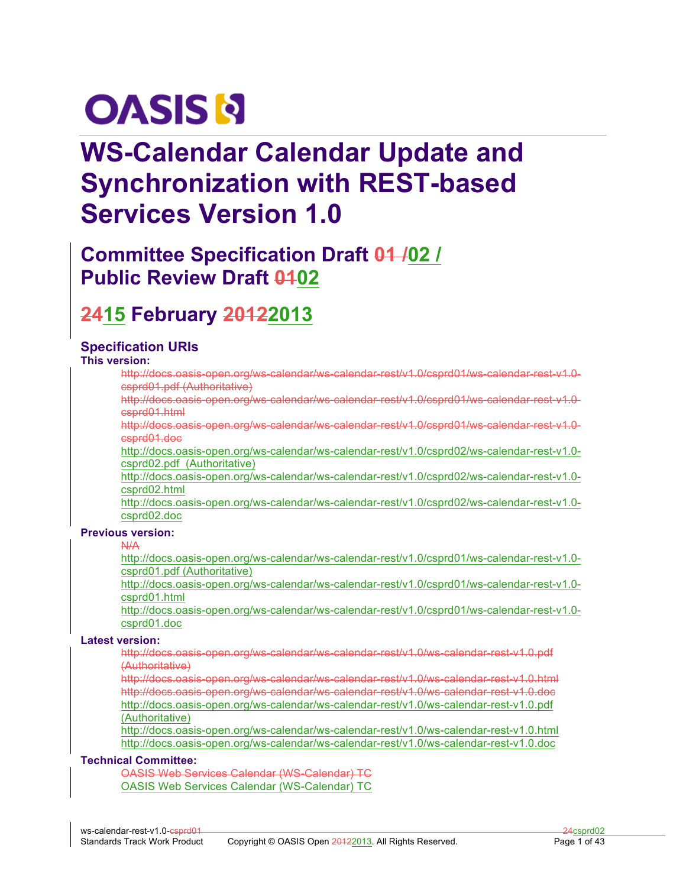# **OASIS N**

# **WS-Calendar Calendar Update and Synchronization with REST-based Services Version 1.0**

# **Committee Specification Draft 01 /02 / Public Review Draft 0402**

# **2415 February 20122013**

### **Specification URIs**

**This version:**

http://docs.oasis-open.org/ws-calendar/ws-calendar-rest/v1.0/csprd01/ws-calendar-rest-v1.0 csprd01.pdf (Authoritative)

http://docs.oasis-open.org/ws-calendar/ws-calendar-rest/v1.0/csprd01/ws-calendar-rest-v1.0 csprd01.html

http://docs.oasis-open.org/ws-calendar/ws-calendar-rest/v1.0/csprd01/ws-calendar-rest-v1.0 csprd01.doc

http://docs.oasis-open.org/ws-calendar/ws-calendar-rest/v1.0/csprd02/ws-calendar-rest-v1.0 csprd02.pdf (Authoritative)

http://docs.oasis-open.org/ws-calendar/ws-calendar-rest/v1.0/csprd02/ws-calendar-rest-v1.0 csprd02.html

http://docs.oasis-open.org/ws-calendar/ws-calendar-rest/v1.0/csprd02/ws-calendar-rest-v1.0 csprd02.doc

#### **Previous version:**

N/A

http://docs.oasis-open.org/ws-calendar/ws-calendar-rest/v1.0/csprd01/ws-calendar-rest-v1.0 csprd01.pdf (Authoritative)

http://docs.oasis-open.org/ws-calendar/ws-calendar-rest/v1.0/csprd01/ws-calendar-rest-v1.0 csprd01.html

http://docs.oasis-open.org/ws-calendar/ws-calendar-rest/v1.0/csprd01/ws-calendar-rest-v1.0 csprd01.doc

#### **Latest version:**

http://docs.oasis-open.org/ws-calendar/ws-calendar-rest/v1.0/ws-calendar-rest-v1.0.pdf (Authoritative)

http://docs.oasis-open.org/ws-calendar/ws-calendar-rest/v1.0/ws-calendar-rest-v1.0.html http://docs.oasis-open.org/ws-calendar/ws-calendar-rest/v1.0/ws-calendar-rest-v1.0.doc http://docs.oasis-open.org/ws-calendar/ws-calendar-rest/v1.0/ws-calendar-rest-v1.0.pdf (Authoritative)

http://docs.oasis-open.org/ws-calendar/ws-calendar-rest/v1.0/ws-calendar-rest-v1.0.html http://docs.oasis-open.org/ws-calendar/ws-calendar-rest/v1.0/ws-calendar-rest-v1.0.doc

#### **Technical Committee:**

OASIS Web Services Calendar (WS-Calendar) TC OASIS Web Services Calendar (WS-Calendar) TC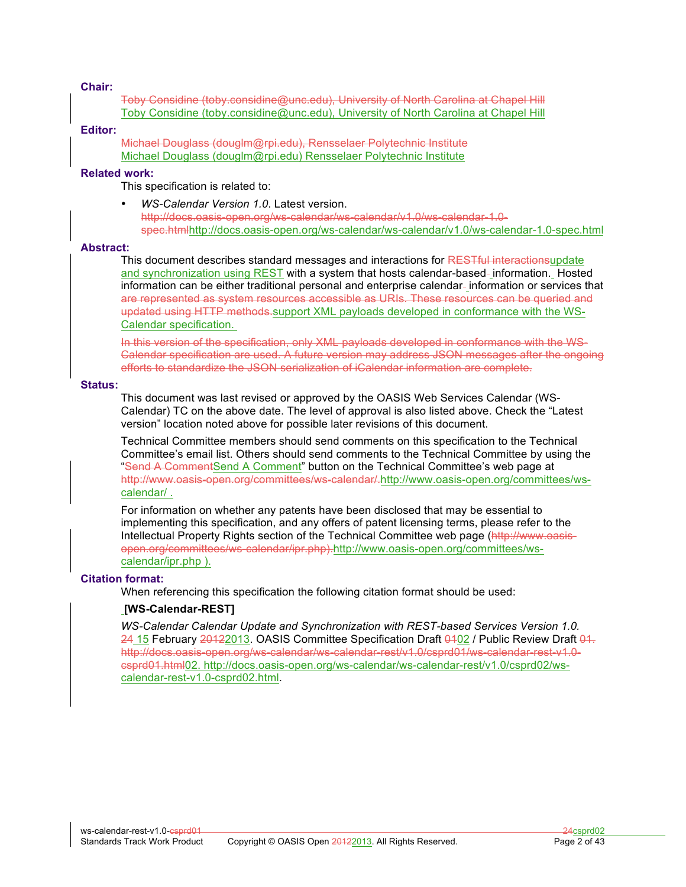#### **Chair:**

Toby Considine (toby.considine@unc.edu), University of North Carolina at Chapel Hill Toby Considine (toby.considine@unc.edu), University of North Carolina at Chapel Hill

#### **Editor:**

Michael Douglass (douglm@rpi.edu), Rensselaer Polytechnic Institute Michael Douglass (douglm@rpi.edu) Rensselaer Polytechnic Institute

#### **Related work:**

This specification is related to:

• *WS-Calendar Version 1.0*. Latest version. http://docs.oasis-open.org/ws-calendar/ws-calendar/v1.0/ws-calendar-1.0 spec.htmlhttp://docs.oasis-open.org/ws-calendar/ws-calendar/v1.0/ws-calendar-1.0-spec.html

#### **Abstract:**

This document describes standard messages and interactions for RESTful interactionsupdate and synchronization using REST with a system that hosts calendar-based-information. Hosted information can be either traditional personal and enterprise calendar-information or services that are represented as system resources accessible as URIs. These resources can be queried and updated using HTTP methods.support XML payloads developed in conformance with the WS-Calendar specification.

In this version of the specification, only XML payloads developed in conformance with the WS-Calendar specification are used. A future version may address JSON messages after the ongoing efforts to standardize the JSON serialization of iCalendar information are complete.

#### **Status:**

This document was last revised or approved by the OASIS Web Services Calendar (WS-Calendar) TC on the above date. The level of approval is also listed above. Check the "Latest version" location noted above for possible later revisions of this document.

Technical Committee members should send comments on this specification to the Technical Committee's email list. Others should send comments to the Technical Committee by using the "Send A CommentSend A Comment" button on the Technical Committee's web page at http://www.oasis-open.org/committees/ws-calendar/.http://www.oasis-open.org/committees/wscalendar/ .

For information on whether any patents have been disclosed that may be essential to implementing this specification, and any offers of patent licensing terms, please refer to the Intellectual Property Rights section of the Technical Committee web page (http://www.oasisopen.org/committees/ws-calendar/ipr.php).http://www.oasis-open.org/committees/wscalendar/ipr.php ).

#### **Citation format:**

When referencing this specification the following citation format should be used:

#### **[WS-Calendar-REST]**

*WS-Calendar Calendar Update and Synchronization with REST-based Services Version 1.0.* 24 15 February 20122013. OASIS Committee Specification Draft 0102 / Public Review Draft 01. http://docs.oasis-open.org/ws-calendar/ws-calendar-rest/v1.0/csprd01/ws-calendar-rest-v1.0 csprd01.html02. http://docs.oasis-open.org/ws-calendar/ws-calendar-rest/v1.0/csprd02/wscalendar-rest-v1.0-csprd02.html.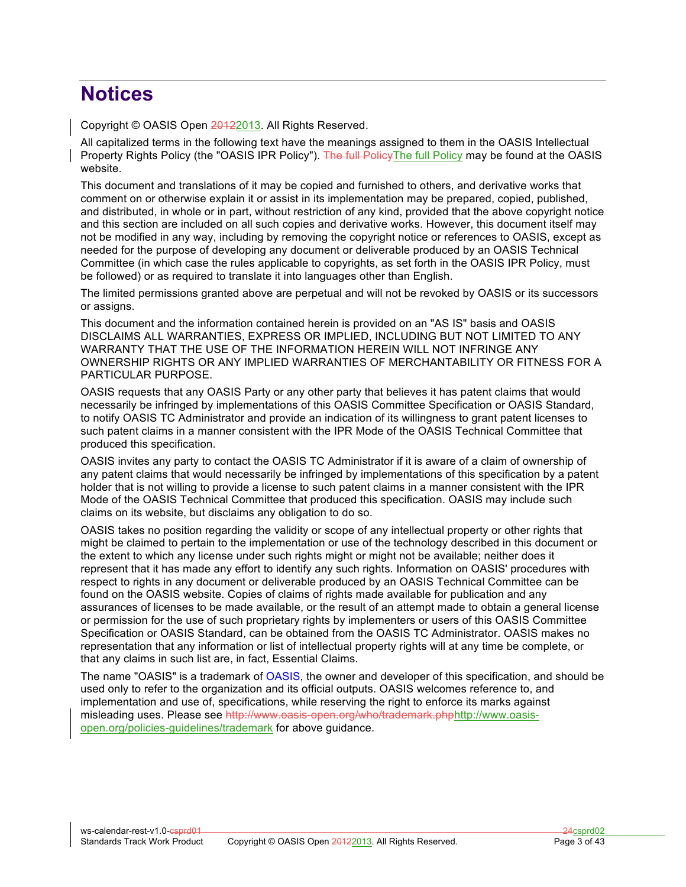# **Notices**

Copyright © OASIS Open 20122013. All Rights Reserved.

All capitalized terms in the following text have the meanings assigned to them in the OASIS Intellectual Property Rights Policy (the "OASIS IPR Policy"). The full Policy The full Policy may be found at the OASIS website.

This document and translations of it may be copied and furnished to others, and derivative works that comment on or otherwise explain it or assist in its implementation may be prepared, copied, published, and distributed, in whole or in part, without restriction of any kind, provided that the above copyright notice and this section are included on all such copies and derivative works. However, this document itself may not be modified in any way, including by removing the copyright notice or references to OASIS, except as needed for the purpose of developing any document or deliverable produced by an OASIS Technical Committee (in which case the rules applicable to copyrights, as set forth in the OASIS IPR Policy, must be followed) or as required to translate it into languages other than English.

The limited permissions granted above are perpetual and will not be revoked by OASIS or its successors or assigns.

This document and the information contained herein is provided on an "AS IS" basis and OASIS DISCLAIMS ALL WARRANTIES, EXPRESS OR IMPLIED, INCLUDING BUT NOT LIMITED TO ANY WARRANTY THAT THE USE OF THE INFORMATION HEREIN WILL NOT INFRINGE ANY OWNERSHIP RIGHTS OR ANY IMPLIED WARRANTIES OF MERCHANTABILITY OR FITNESS FOR A PARTICULAR PURPOSE.

OASIS requests that any OASIS Party or any other party that believes it has patent claims that would necessarily be infringed by implementations of this OASIS Committee Specification or OASIS Standard, to notify OASIS TC Administrator and provide an indication of its willingness to grant patent licenses to such patent claims in a manner consistent with the IPR Mode of the OASIS Technical Committee that produced this specification.

OASIS invites any party to contact the OASIS TC Administrator if it is aware of a claim of ownership of any patent claims that would necessarily be infringed by implementations of this specification by a patent holder that is not willing to provide a license to such patent claims in a manner consistent with the IPR Mode of the OASIS Technical Committee that produced this specification. OASIS may include such claims on its website, but disclaims any obligation to do so.

OASIS takes no position regarding the validity or scope of any intellectual property or other rights that might be claimed to pertain to the implementation or use of the technology described in this document or the extent to which any license under such rights might or might not be available; neither does it represent that it has made any effort to identify any such rights. Information on OASIS' procedures with respect to rights in any document or deliverable produced by an OASIS Technical Committee can be found on the OASIS website. Copies of claims of rights made available for publication and any assurances of licenses to be made available, or the result of an attempt made to obtain a general license or permission for the use of such proprietary rights by implementers or users of this OASIS Committee Specification or OASIS Standard, can be obtained from the OASIS TC Administrator. OASIS makes no representation that any information or list of intellectual property rights will at any time be complete, or that any claims in such list are, in fact, Essential Claims.

The name "OASIS" is a trademark of OASIS, the owner and developer of this specification, and should be used only to refer to the organization and its official outputs. OASIS welcomes reference to, and implementation and use of, specifications, while reserving the right to enforce its marks against misleading uses. Please see http://www.oasis-open.org/who/trademark.phphttp://www.oasisopen.org/policies-guidelines/trademark for above guidance.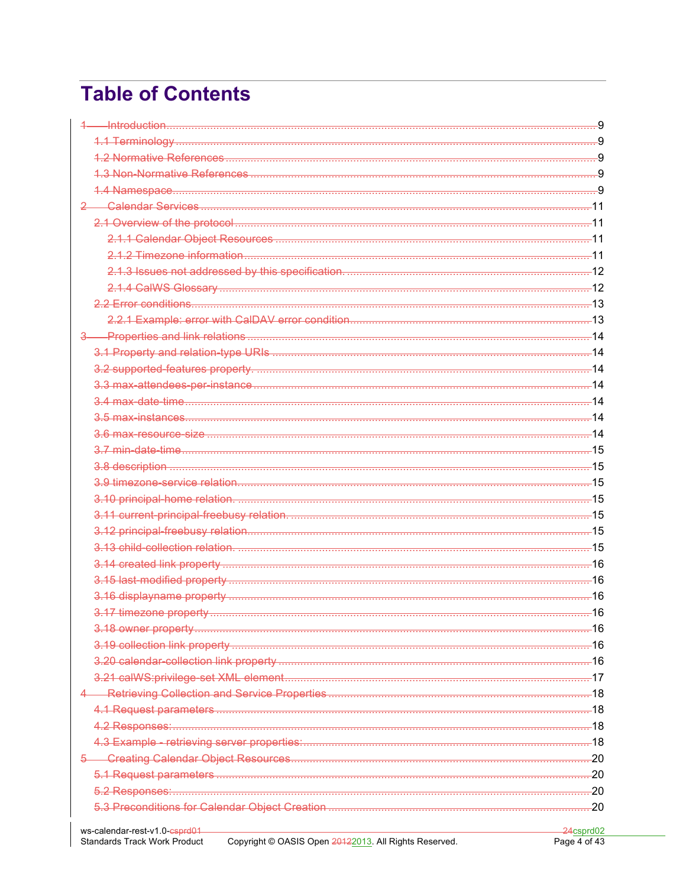# **Table of Contents**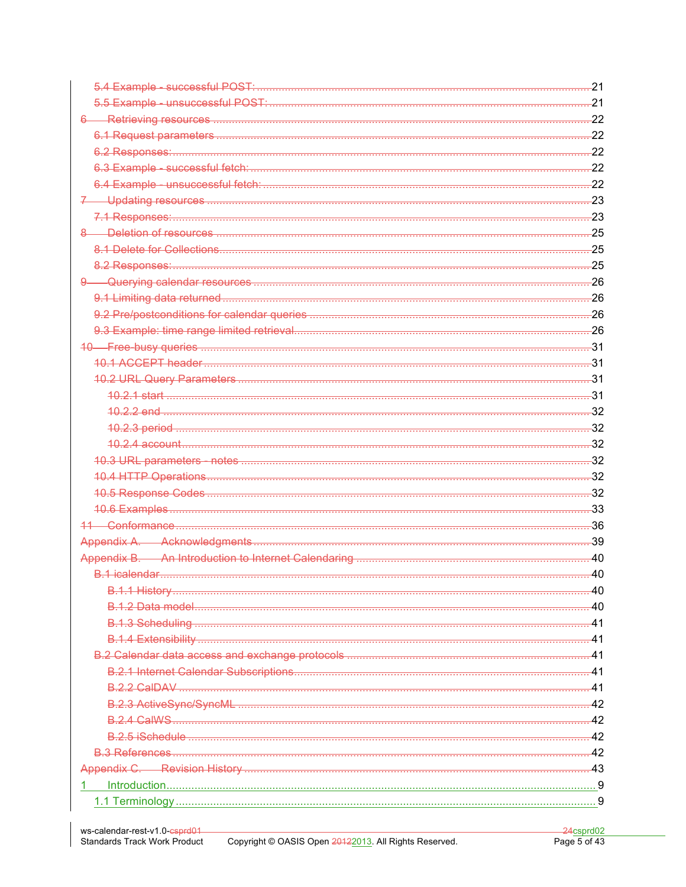| $-21$ |
|-------|
|       |
|       |
|       |
|       |
|       |
|       |
| $-23$ |
|       |
|       |
|       |
|       |
|       |
|       |
|       |
|       |
| $-31$ |
| $-31$ |
| -31   |
| -31   |
|       |
|       |
| $-32$ |
|       |
|       |
|       |
|       |
|       |
| $-39$ |
|       |
| $-40$ |
| -40   |
|       |
| $-41$ |
| -41   |
| $-41$ |
| -41   |
| -41   |
| $-42$ |
|       |
| $-42$ |
| $-42$ |
|       |
|       |
|       |
|       |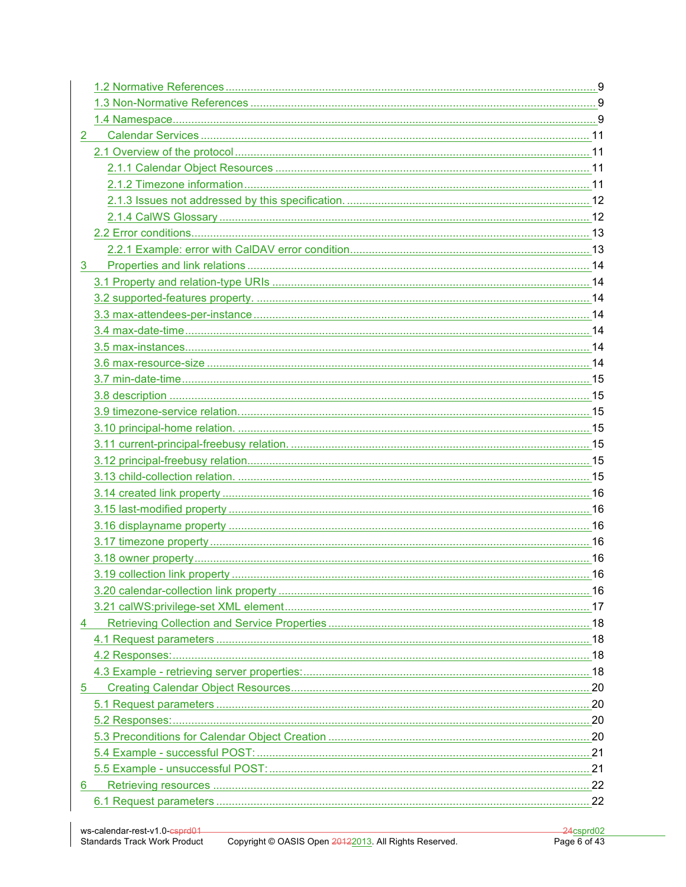| $\overline{2}$ |  |
|----------------|--|
|                |  |
|                |  |
|                |  |
|                |  |
|                |  |
|                |  |
|                |  |
| 3              |  |
|                |  |
|                |  |
|                |  |
|                |  |
|                |  |
|                |  |
|                |  |
|                |  |
|                |  |
|                |  |
|                |  |
|                |  |
|                |  |
|                |  |
|                |  |
|                |  |
|                |  |
|                |  |
|                |  |
|                |  |
|                |  |
| 4              |  |
|                |  |
|                |  |
|                |  |
| 5              |  |
|                |  |
|                |  |
|                |  |
|                |  |
|                |  |
| 6              |  |
|                |  |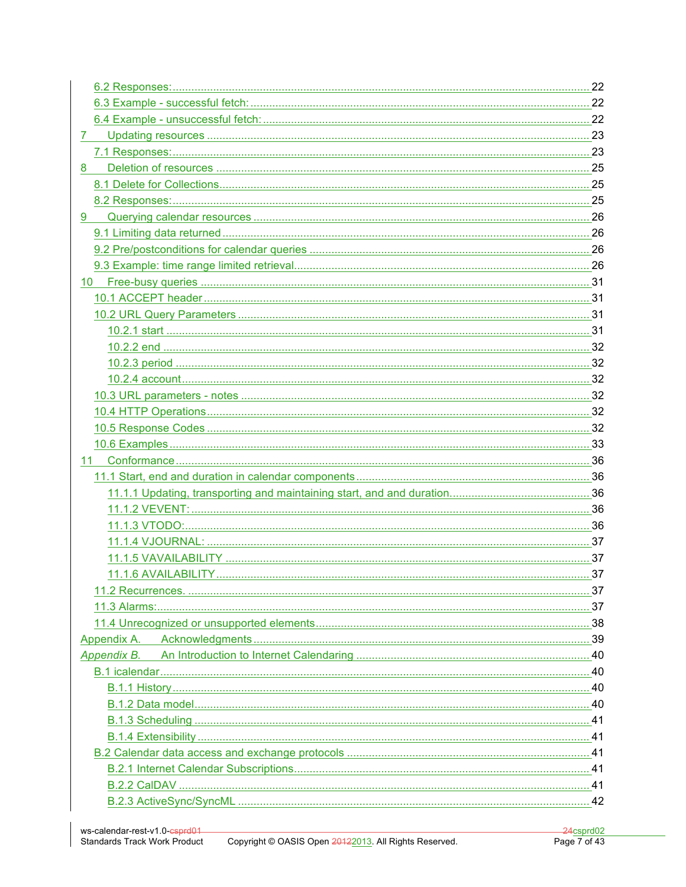| 7.          |  |
|-------------|--|
|             |  |
| 8           |  |
|             |  |
|             |  |
| 9           |  |
|             |  |
|             |  |
|             |  |
| 10          |  |
|             |  |
|             |  |
|             |  |
|             |  |
|             |  |
|             |  |
|             |  |
|             |  |
|             |  |
|             |  |
|             |  |
|             |  |
|             |  |
|             |  |
|             |  |
|             |  |
|             |  |
|             |  |
|             |  |
|             |  |
|             |  |
|             |  |
| Appendix B. |  |
|             |  |
|             |  |
|             |  |
|             |  |
|             |  |
|             |  |
|             |  |
|             |  |
|             |  |
|             |  |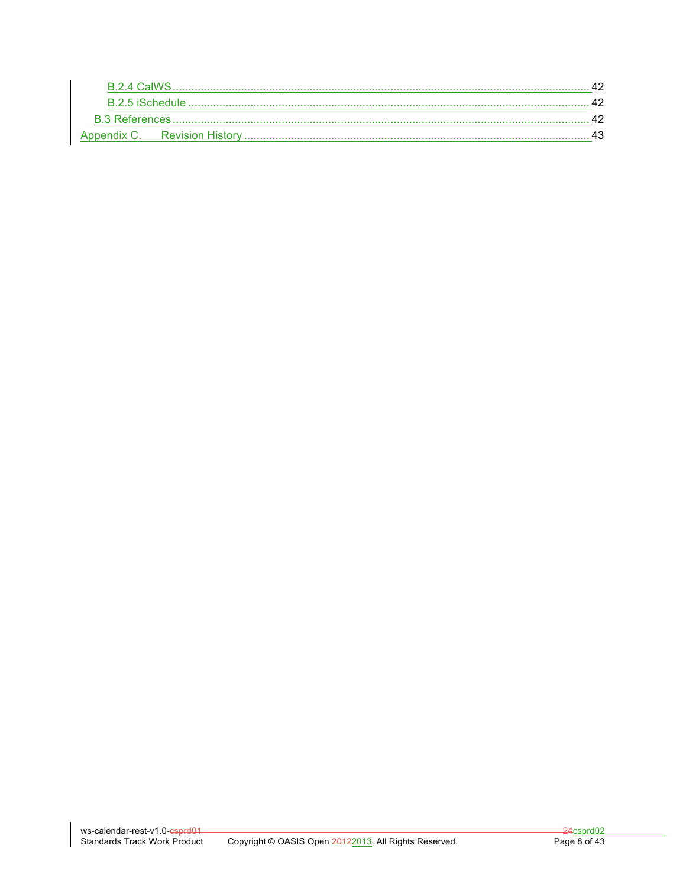| B 2.5 iSchedule |  |
|-----------------|--|
|                 |  |
|                 |  |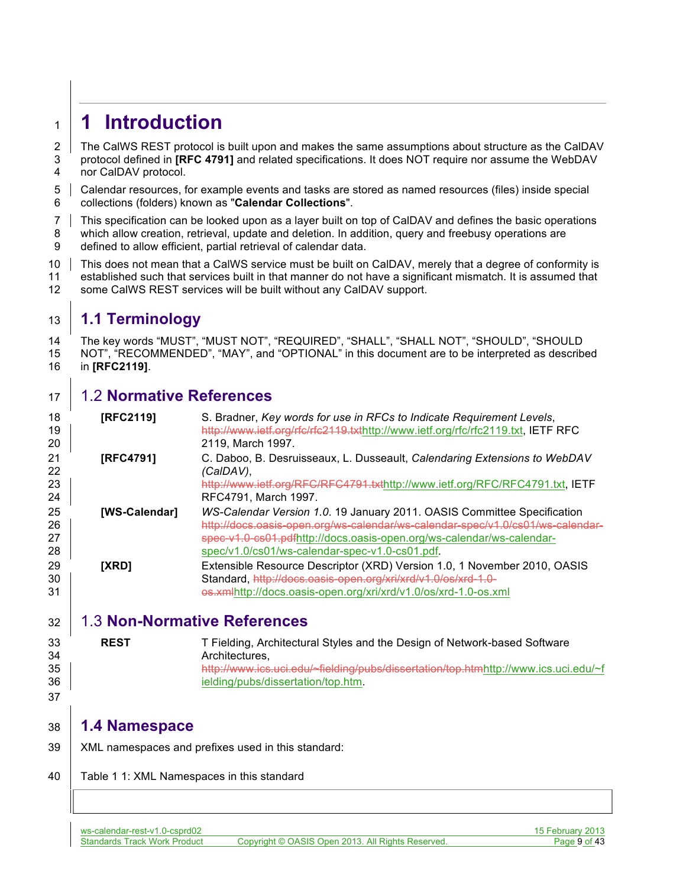# **1 Introduction**

2 The CalWS REST protocol is built upon and makes the same assumptions about structure as the CalDAV protocol defined in **[RFC 4791]** and related specifications. It does NOT require nor assume the WebDAV nor CalDAV protocol.

 Calendar resources, for example events and tasks are stored as named resources (files) inside special collections (folders) known as "**Calendar Collections**".

 This specification can be looked upon as a layer built on top of CalDAV and defines the basic operations which allow creation, retrieval, update and deletion. In addition, query and freebusy operations are

defined to allow efficient, partial retrieval of calendar data.

10 This does not mean that a CalWS service must be built on CalDAV, merely that a degree of conformity is established such that services built in that manner do not have a significant mismatch. It is assumed that some CalWS REST services will be built without any CalDAV support.

# **1.1 Terminology**

 The key words "MUST", "MUST NOT", "REQUIRED", "SHALL", "SHALL NOT", "SHOULD", "SHOULD NOT", "RECOMMENDED", "MAY", and "OPTIONAL" in this document are to be interpreted as described in **[RFC2119]**.

# 1.2 **Normative References**

| 18<br>19<br>20  | <b>IRFC21191</b> | S. Bradner, Key words for use in RFCs to Indicate Requirement Levels,<br>http://www.ietf.org/rfc/rfc2119.txthttp://www.ietf.org/rfc/rfc2119.txt, IETF RFC<br>2119, March 1997.                               |
|-----------------|------------------|--------------------------------------------------------------------------------------------------------------------------------------------------------------------------------------------------------------|
| 21<br>22.<br>23 | <b>IRFC47911</b> | C. Daboo, B. Desruisseaux, L. Dusseault, Calendaring Extensions to WebDAV<br>(CalDAV),<br>http://www.ietf.org/RFC/RFC4791.txthttp://www.ietf.org/RFC/RFC4791.txt, IETF                                       |
| 24<br>25        | [WS-Calendar]    | RFC4791, March 1997.<br>WS-Calendar Version 1.0. 19 January 2011. OASIS Committee Specification                                                                                                              |
| 26<br>27<br>28  |                  | http://docs.oasis-open.org/ws-calendar/ws-calendar-spec/v1.0/cs01/ws-calendar-<br>spec-v1.0-cs01.pdfhttp://docs.oasis-open.org/ws-calendar/ws-calendar-<br>spec/v1.0/cs01/ws-calendar-spec-v1.0-cs01.pdf.    |
| 29<br>30<br>31  | [XRD]            | Extensible Resource Descriptor (XRD) Version 1.0, 1 November 2010, OASIS<br>Standard, http://docs.oasis-open.org/xri/xrd/v1.0/os/xrd-1.0-<br>es.xmlhttp://docs.oasis-open.org/xri/xrd/v1.0/os/xrd-1.0-os.xml |

# 1.3 **Non-Normative References**

| 33 | <b>REST</b> | T Fielding, Architectural Styles and the Design of Network-based Software           |
|----|-------------|-------------------------------------------------------------------------------------|
| 34 |             | Architectures.                                                                      |
| 35 |             | http://www.ics.uci.edu/~fielding/pubs/dissertation/top.htmhttp://www.ics.uci.edu/~f |
| 36 |             | ielding/pubs/dissertation/top.htm.                                                  |

# **1.4 Namespace**

- XML namespaces and prefixes used in this standard:
- 40 | Table 1 1: XML Namespaces in this standard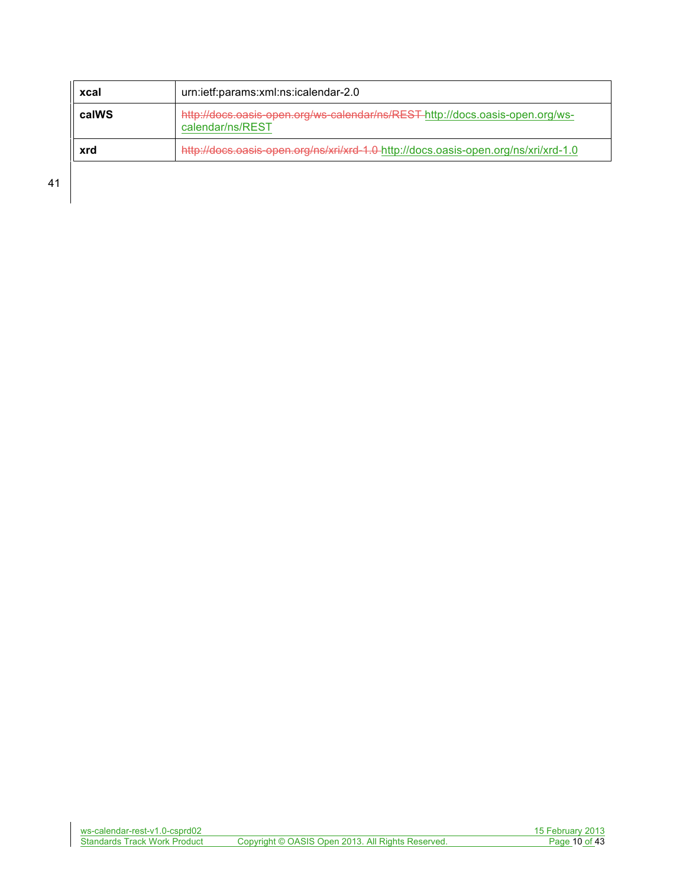| xcal  | urn:ietf:params:xml:ns:icalendar-2.0                                                              |  |  |
|-------|---------------------------------------------------------------------------------------------------|--|--|
| calWS | http://docs.oasis-open.org/ws-calendar/ns/REST-http://docs.oasis-open.org/ws-<br>calendar/ns/REST |  |  |
| xrd   | http://docs.oasis-open.org/ns/xri/xrd-1.0-http://docs.oasis-open.org/ns/xri/xrd-1.0               |  |  |

41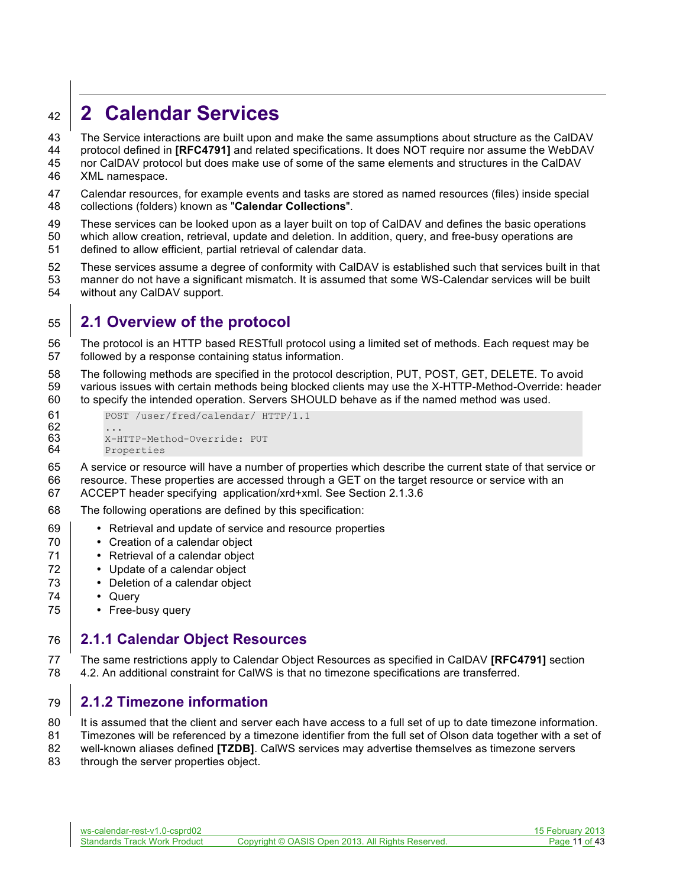# **2 Calendar Services**

The Service interactions are built upon and make the same assumptions about structure as the CalDAV

protocol defined in **[RFC4791]** and related specifications. It does NOT require nor assume the WebDAV

- nor CalDAV protocol but does make use of some of the same elements and structures in the CalDAV XML namespace.
- Calendar resources, for example events and tasks are stored as named resources (files) inside special collections (folders) known as "**Calendar Collections**".
- These services can be looked upon as a layer built on top of CalDAV and defines the basic operations which allow creation, retrieval, update and deletion. In addition, query, and free-busy operations are
- defined to allow efficient, partial retrieval of calendar data.
- These services assume a degree of conformity with CalDAV is established such that services built in that manner do not have a significant mismatch. It is assumed that some WS-Calendar services will be built without any CalDAV support.

# **2.1 Overview of the protocol**

- The protocol is an HTTP based RESTfull protocol using a limited set of methods. Each request may be followed by a response containing status information.
- The following methods are specified in the protocol description, PUT, POST, GET, DELETE. To avoid various issues with certain methods being blocked clients may use the X-HTTP-Method-Override: header to specify the intended operation. Servers SHOULD behave as if the named method was used.

```
61 POST /user/fred/calendar/ HTTP/1.1
62 ...<br>63 ...
63 X-HTTP-Method-Override: PUT<br>64 Properties
          Properties
```
- A service or resource will have a number of properties which describe the current state of that service or resource. These properties are accessed through a GET on the target resource or service with an
- ACCEPT header specifying application/xrd+xml. See Section 2.1.3.6
- The following operations are defined by this specification:
- Retrieval and update of service and resource properties
- **•** Creation of a calendar object
- **•** Retrieval of a calendar object
- **•** Update of a calendar object
- **•** Deletion of a calendar object
- Query
- Free-busy query

# **2.1.1 Calendar Object Resources**

 The same restrictions apply to Calendar Object Resources as specified in CalDAV **[RFC4791]** section 4.2. An additional constraint for CalWS is that no timezone specifications are transferred.

# **2.1.2 Timezone information**

- 80 It is assumed that the client and server each have access to a full set of up to date timezone information.
- Timezones will be referenced by a timezone identifier from the full set of Olson data together with a set of
- well-known aliases defined **[TZDB]**. CalWS services may advertise themselves as timezone servers
- 83 through the server properties object.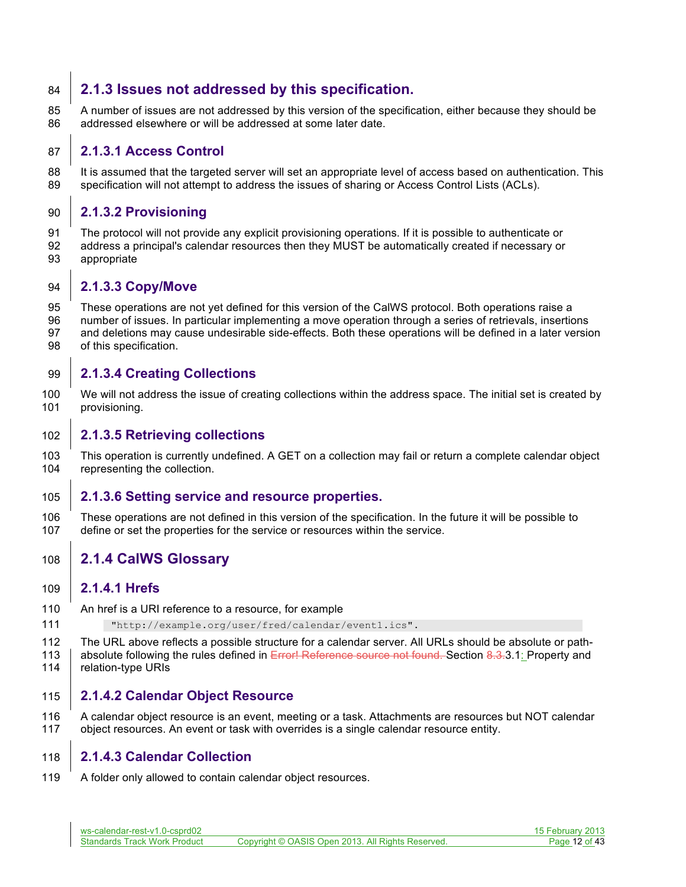### **2.1.3 Issues not addressed by this specification.**

 A number of issues are not addressed by this version of the specification, either because they should be addressed elsewhere or will be addressed at some later date.

#### **2.1.3.1 Access Control**

88 It is assumed that the targeted server will set an appropriate level of access based on authentication. This specification will not attempt to address the issues of sharing or Access Control Lists (ACLs).

#### **2.1.3.2 Provisioning**

 The protocol will not provide any explicit provisioning operations. If it is possible to authenticate or address a principal's calendar resources then they MUST be automatically created if necessary or appropriate

#### **2.1.3.3 Copy/Move**

 These operations are not yet defined for this version of the CalWS protocol. Both operations raise a number of issues. In particular implementing a move operation through a series of retrievals, insertions and deletions may cause undesirable side-effects. Both these operations will be defined in a later version of this specification.

#### **2.1.3.4 Creating Collections**

 We will not address the issue of creating collections within the address space. The initial set is created by provisioning.

#### **2.1.3.5 Retrieving collections**

 This operation is currently undefined. A GET on a collection may fail or return a complete calendar object representing the collection.

#### **2.1.3.6 Setting service and resource properties.**

 These operations are not defined in this version of the specification. In the future it will be possible to define or set the properties for the service or resources within the service.

### **2.1.4 CalWS Glossary**

#### **2.1.4.1 Hrefs**

- An href is a URI reference to a resource, for example
- "http://example.org/user/fred/calendar/event1.ics".
- The URL above reflects a possible structure for a calendar server. All URLs should be absolute or path-113 absolute following the rules defined in Error! Reference source not found. Section 8.3.3.1: Property and
- 114 | relation-type URIs

#### **2.1.4.2 Calendar Object Resource**

 A calendar object resource is an event, meeting or a task. Attachments are resources but NOT calendar object resources. An event or task with overrides is a single calendar resource entity.

#### **2.1.4.3 Calendar Collection**

A folder only allowed to contain calendar object resources.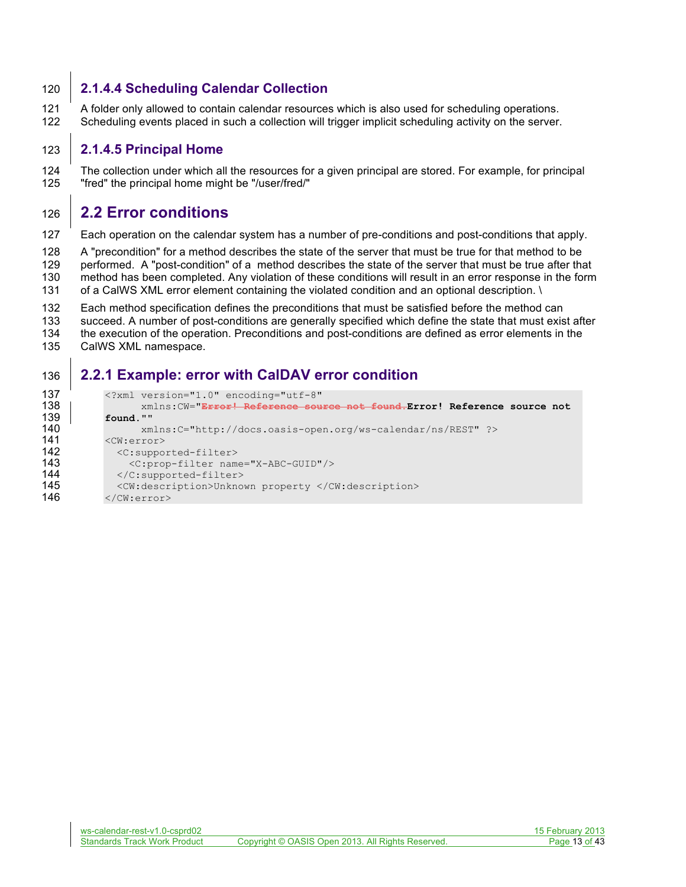#### **2.1.4.4 Scheduling Calendar Collection**

 A folder only allowed to contain calendar resources which is also used for scheduling operations. Scheduling events placed in such a collection will trigger implicit scheduling activity on the server.

#### **2.1.4.5 Principal Home**

 The collection under which all the resources for a given principal are stored. For example, for principal "fred" the principal home might be "/user/fred/"

### **2.2 Error conditions**

Each operation on the calendar system has a number of pre-conditions and post-conditions that apply.

A "precondition" for a method describes the state of the server that must be true for that method to be

performed. A "post-condition" of a method describes the state of the server that must be true after that

method has been completed. Any violation of these conditions will result in an error response in the form

- 131 of a CalWS XML error element containing the violated condition and an optional description. \
- Each method specification defines the preconditions that must be satisfied before the method can
- succeed. A number of post-conditions are generally specified which define the state that must exist after
- the execution of the operation. Preconditions and post-conditions are defined as error elements in the
- CalWS XML namespace.

### **2.2.1 Example: error with CalDAV error condition**

```
137 <?xml version="1.0" encoding="utf-8"<br>138 | xmlns:CW="<del>Error! Reference sou</del>
138 xmlns:CW="Error! Reference source not found.Error! Reference source not 
139 found.""
140 xmlns:C="http://docs.oasis-open.org/ws-calendar/ns/REST" ?><br>141 <CW:error>
             \langle CW:error \rangle142 < C: supported-filter><br>143 < C: prop-filter nam
143 < C:prop-filter name="X-ABC-GUID"/><br>144 < /C:supported-filter>
144 </C:supported-filter><br>145 <cw:description>Unknow
145 <CW:description>Unknown property </CW:description><br>146 </CW:error>
             \langle/CW:error>
```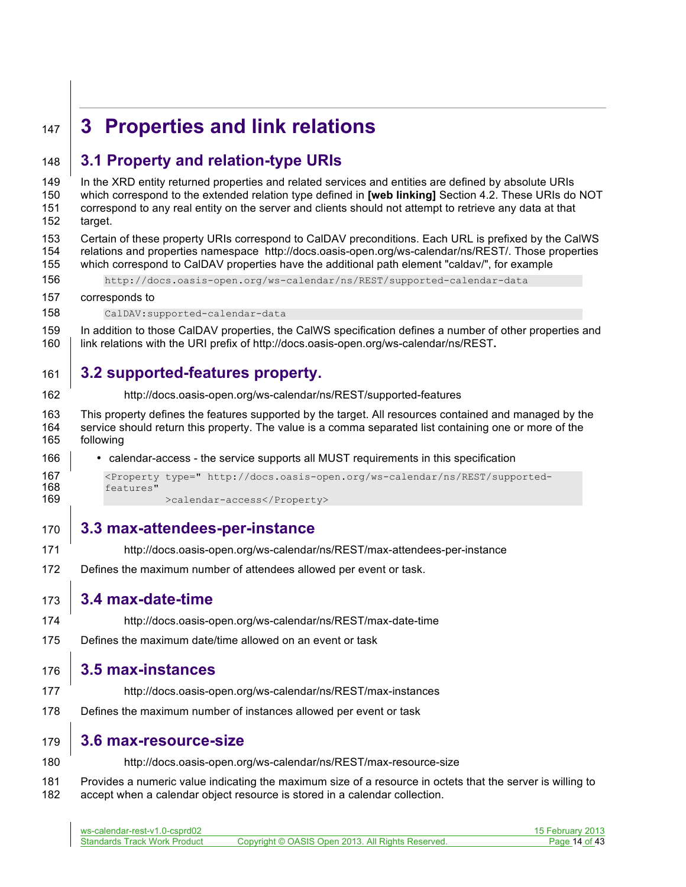# **3 Properties and link relations**

# **3.1 Property and relation-type URIs**

ws-calendar-rest-v1.0-csprd02 15 February 2013 In the XRD entity returned properties and related services and entities are defined by absolute URIs which correspond to the extended relation type defined in **[web linking]** Section 4.2. These URIs do NOT correspond to any real entity on the server and clients should not attempt to retrieve any data at that target. Certain of these property URIs correspond to CalDAV preconditions. Each URL is prefixed by the CalWS relations and properties namespace http://docs.oasis-open.org/ws-calendar/ns/REST/. Those properties which correspond to CalDAV properties have the additional path element "caldav/", for example http://docs.oasis-open.org/ws-calendar/ns/REST/supported-calendar-data corresponds to CalDAV:supported-calendar-data In addition to those CalDAV properties, the CalWS specification defines a number of other properties and link relations with the URI prefix of http://docs.oasis-open.org/ws-calendar/ns/REST**. 3.2 supported-features property.** http://docs.oasis-open.org/ws-calendar/ns/REST/supported-features This property defines the features supported by the target. All resources contained and managed by the service should return this property. The value is a comma separated list containing one or more of the following • calendar-access - the service supports all MUST requirements in this specification 167 <Property type=" http://docs.oasis-open.org/ws-calendar/ns/REST/supported-<br>168 features" 168 features"<br>169 >calendar-access</Property> **3.3 max-attendees-per-instance** http://docs.oasis-open.org/ws-calendar/ns/REST/max-attendees-per-instance Defines the maximum number of attendees allowed per event or task. **3.4 max-date-time** http://docs.oasis-open.org/ws-calendar/ns/REST/max-date-time Defines the maximum date/time allowed on an event or task **3.5 max-instances** http://docs.oasis-open.org/ws-calendar/ns/REST/max-instances Defines the maximum number of instances allowed per event or task **3.6 max-resource-size** http://docs.oasis-open.org/ws-calendar/ns/REST/max-resource-size Provides a numeric value indicating the maximum size of a resource in octets that the server is willing to accept when a calendar object resource is stored in a calendar collection.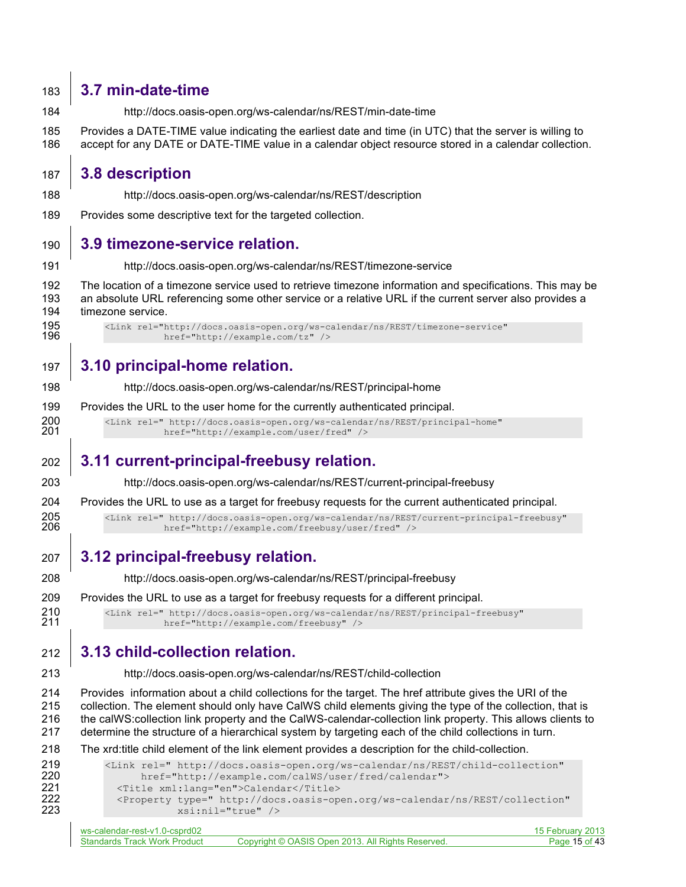# **3.7 min-date-time**

- http://docs.oasis-open.org/ws-calendar/ns/REST/min-date-time
- Provides a DATE-TIME value indicating the earliest date and time (in UTC) that the server is willing to accept for any DATE or DATE-TIME value in a calendar object resource stored in a calendar collection.

# **3.8 description**

- http://docs.oasis-open.org/ws-calendar/ns/REST/description
- Provides some descriptive text for the targeted collection.

# **3.9 timezone-service relation.**

http://docs.oasis-open.org/ws-calendar/ns/REST/timezone-service

 The location of a timezone service used to retrieve timezone information and specifications. This may be an absolute URL referencing some other service or a relative URL if the current server also provides a timezone service.

195 <Link rel="http://docs.oasis-open.org/ws-calendar/ns/REST/timezone-service"<br>196 href="http://example.com/tz" /> href="http://example.com/tz" />

# **3.10 principal-home relation.**

- http://docs.oasis-open.org/ws-calendar/ns/REST/principal-home
- Provides the URL to the user home for the currently authenticated principal.

200 <Link rel=" http://docs.oasis-open.org/ws-calendar/ns/REST/principal-home" heart-org/ws-calendar/ns/REST/principal-home" href="http://example.com/user/fred" />

# **3.11 current-principal-freebusy relation.**

http://docs.oasis-open.org/ws-calendar/ns/REST/current-principal-freebusy

Provides the URL to use as a target for freebusy requests for the current authenticated principal.

205 <Link rel=" http://docs.oasis-open.org/ws-calendar/ns/REST/current-principal-freebusy"<br>206 href="http://example.com/freebusy/user/fred" /> href="http://example.com/freebusy/user/fred" />

**3.12 principal-freebusy relation.**

http://docs.oasis-open.org/ws-calendar/ns/REST/principal-freebusy

Provides the URL to use as a target for freebusy requests for a different principal.

210 <Link rel=" http://docs.oasis-open.org/ws-calendar/ns/REST/principal-freebusy"<br>211 href="http://example.com/freebusy" /> href="http://example.com/freebusy" />

# **3.13 child-collection relation.**

#### http://docs.oasis-open.org/ws-calendar/ns/REST/child-collection

 Provides information about a child collections for the target. The href attribute gives the URI of the collection. The element should only have CalWS child elements giving the type of the collection, that is the calWS:collection link property and the CalWS-calendar-collection link property. This allows clients to determine the structure of a hierarchical system by targeting each of the child collections in turn.

#### The xrd:title child element of the link element provides a description for the child-collection.

| 219 | <link <="" rel="http://docs.oasis-open.org/ws-calendar/ns/REST/child-collection" th=""/>           |
|-----|----------------------------------------------------------------------------------------------------|
|     |                                                                                                    |
| 220 | href="http://example.com/calWS/user/fred/calendar">                                                |
| 221 | <title xml:lang="en">Calendar</title>                                                              |
| 222 | <property <="" th="" type=" http://docs.oasis-open.org/ws-calendar/ns/REST/collection"></property> |
| 223 | $xsi:nil="true"$                                                                                   |
|     |                                                                                                    |

| ws-calendar-rest-v1.0-csprd02       |                                                   | 15 February 2013 |
|-------------------------------------|---------------------------------------------------|------------------|
| <b>Standards Track Work Product</b> | Copyright © OASIS Open 2013. All Rights Reserved. | Page 15 of 43    |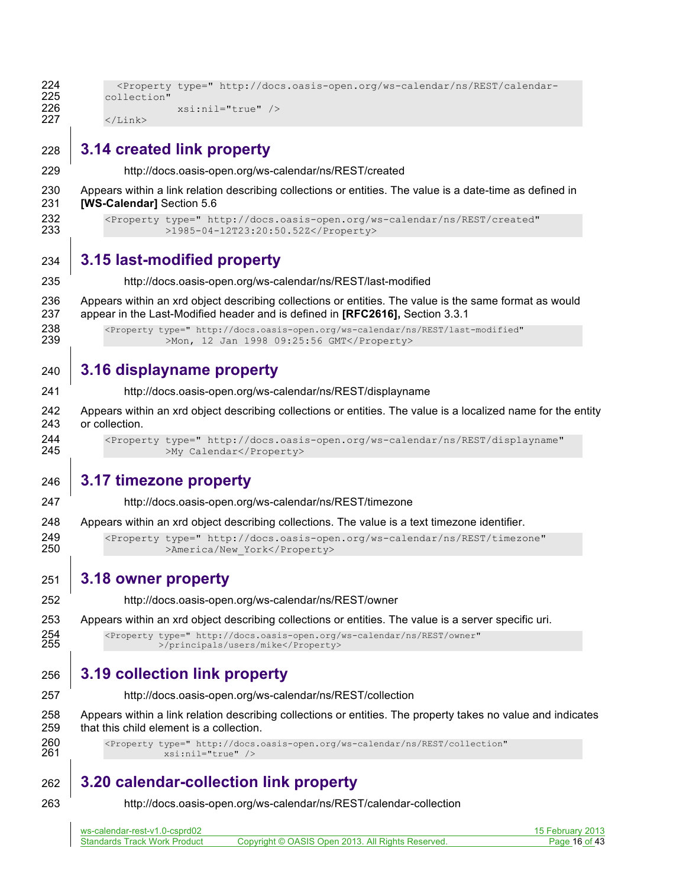| 228        | 3.14 created link property |                                                                                                    |  |  |
|------------|----------------------------|----------------------------------------------------------------------------------------------------|--|--|
| 226<br>227 | $\langle$ /Link $\rangle$  | $xsi:nil="true"$                                                                                   |  |  |
| 224<br>225 | collection"                | <Property type=" http://docs.oasis-open.org/ws-calendar/ns/REST/calendar-</th> <th></th> <th></th> |  |  |

http://docs.oasis-open.org/ws-calendar/ns/REST/created

 Appears within a link relation describing collections or entities. The value is a date-time as defined in **[WS-Calendar]** Section 5.6

232 <Property type=" http://docs.oasis-open.org/ws-calendar/ns/REST/created"<br>233 > 1985-04-12T23:20:50.52Z</Property> >1985-04-12T23:20:50.52Z</Property>

### **3.15 last-modified property**

http://docs.oasis-open.org/ws-calendar/ns/REST/last-modified

 Appears within an xrd object describing collections or entities. The value is the same format as would appear in the Last-Modified header and is defined in **[RFC2616],** Section 3.3.1

238 <Property type=" http://docs.oasis-open.org/ws-calendar/ns/REST/last-modified"<br>239 > Mon, 12 Jan 1998 09:25:56 GMT</Property> >Mon, 12 Jan 1998 09:25:56 GMT</Property>

### **3.16 displayname property**

http://docs.oasis-open.org/ws-calendar/ns/REST/displayname

 Appears within an xrd object describing collections or entities. The value is a localized name for the entity or collection.

 <Property type=" http://docs.oasis-open.org/ws-calendar/ns/REST/displayname" >My Calendar</Property>

### **3.17 timezone property**

- http://docs.oasis-open.org/ws-calendar/ns/REST/timezone
- Appears within an xrd object describing collections. The value is a text timezone identifier.

249 <Property type=" http://docs.oasis-open.org/ws-calendar/ns/REST/timezone"<br>250 >America/New York</Property> >America/New York</Property>

#### **3.18 owner property**

http://docs.oasis-open.org/ws-calendar/ns/REST/owner

Appears within an xrd object describing collections or entities. The value is a server specific uri.

 <Property type=" http://docs.oasis-open.org/ws-calendar/ns/REST/owner" >/principals/users/mike</Property>

# **3.19 collection link property**

http://docs.oasis-open.org/ws-calendar/ns/REST/collection

 Appears within a link relation describing collections or entities. The property takes no value and indicates that this child element is a collection.

260 <Property type=" http://docs.oasis-open.org/ws-calendar/ns/REST/collection"<br>261 xsi:nil="true" /> xsi:nil="true" />

# **3.20 calendar-collection link property**

http://docs.oasis-open.org/ws-calendar/ns/REST/calendar-collection

| ws-calendar-rest-v1.0-csprd02       |                                                   | 15 February 2013 |
|-------------------------------------|---------------------------------------------------|------------------|
| <b>Standards Track Work Product</b> | Copyright © OASIS Open 2013. All Rights Reserved. | Page 16 of 43    |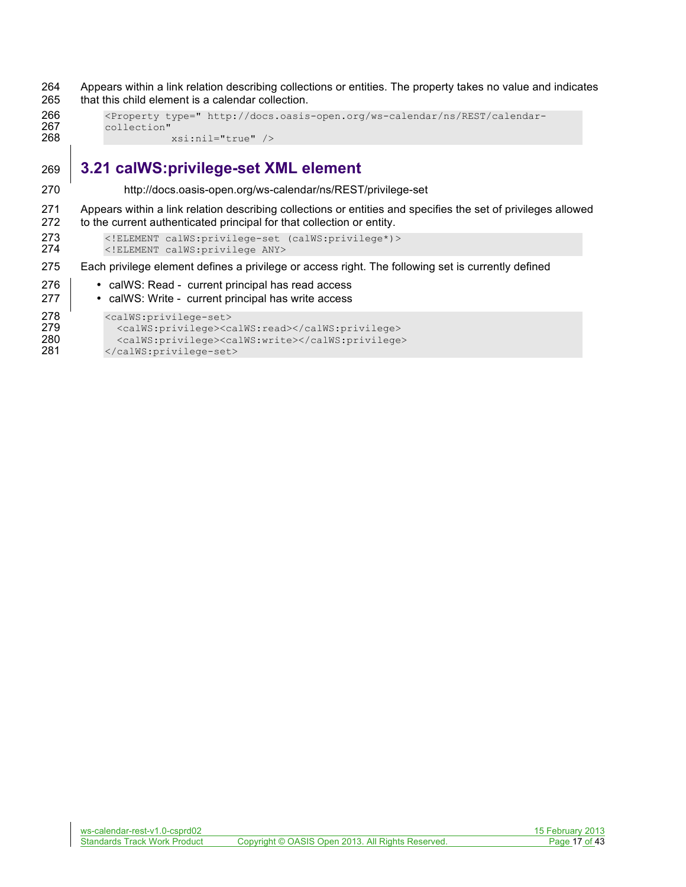264 Appears within a link relation describing collections or entities. The property takes no value and indicates 265 that this child element is a calendar collection.

```
266 <Property type=" http://docs.oasis-open.org/ws-calendar/ns/REST/calendar-
267 collection"<br>268
                     268 xsi:nil="true" />
```
# 269 **3.21 calWS:privilege-set XML element**

270 http://docs.oasis-open.org/ws-calendar/ns/REST/privilege-set

271 Appears within a link relation describing collections or entities and specifies the set of privileges allowed 272 to the current authenticated principal for that collection or entity.

273 <!ELEMENT calWS:privilege-set (calWS:privilege\*)><br>274 <!ELEMENT calWS:privilege ANY> 274 <!ELEMENT calWS:privilege ANY>

275 Each privilege element defines a privilege or access right. The following set is currently defined

- 276 **•** calWS: Read current principal has read access
- 277 **•** calWS: Write current principal has write access

```
278 <calWS:privilege-set><br>279 <calWS:privilege><c
```

```
279 <calWS:privilege><calWS:read></calWS:privilege><br>280 <calWS:privilege><calWS:write></calWS:privilege>
280 <calWS:privilege><calWS:write></calWS:privilege><br>281 </calWS:privilege-set>
               </calWS:privilege-set>
```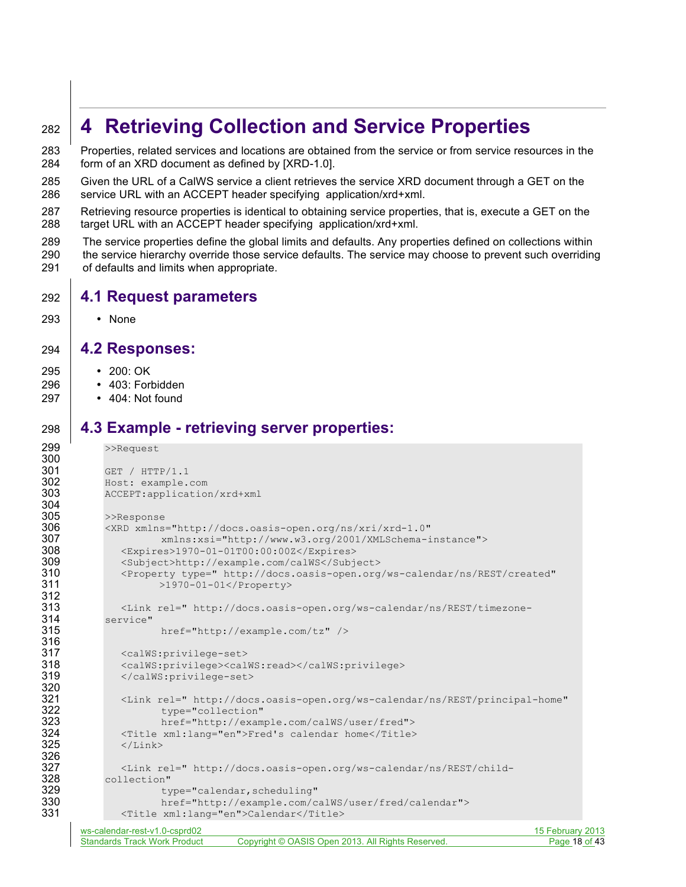# <sup>282</sup> **4 Retrieving Collection and Service Properties**

283 Properties, related services and locations are obtained from the service or from service resources in the 284 form of an XRD document as defined by [XRD-1.0].

- 285 Given the URL of a CalWS service a client retrieves the service XRD document through a GET on the 286 service URL with an ACCEPT header specifying application/xrd+xml.
- 287 Retrieving resource properties is identical to obtaining service properties, that is, execute a GET on the 288 target URL with an ACCEPT header specifying application/xrd+xml.
- 289 The service properties define the global limits and defaults. Any properties defined on collections within 290 the service hierarchy override those service defaults. The service may choose to prevent such overriding 291 of defaults and limits when appropriate.

### 292 **4.1 Request parameters**

293 • None

#### 294 **4.2 Responses:**

- 295 200: OK
- 296 403: Forbidden
- 297 404: Not found

### 298 **4.3 Example - retrieving server properties:**

```
ws-calendar-rest-v1.0-csprd02 15 February 2013
       Standards Track Work Product Copyright © OASIS Open 2013. All Rights Reserved. Page 18 of 43
299 >>Request
300
301 GET / HTTP/1.1<br>302 Host: example.
302 Host: example.com<br>303 ACCEPT:applicatio
           303 ACCEPT:application/xrd+xml
304<br>305
305 >>Response<br>306 <XRD xmlns
306 <XRD xmlns="http://docs.oasis-open.org/ns/xri/xrd-1.0"
307 xmlns:xsi="http://www.w3.org/2001/XMLSchema-instance">
308 <Expires>1970-01-01T00:00:00Z</Expires>
309 <Subject>http://example.com/calWS</Subject><br>310 <Property type=" http://docs.oasis-open.org
310 <Property type=" http://docs.oasis-open.org/ws-calendar/ns/REST/created" >1970-01-01</Property>
                     >1970-01-01</Property>
312
313 <Link rel=" http://docs.oasis-open.org/ws-calendar/ns/REST/timezone-<br>314 service"
314 service"
                      href="http://example.com/tz" />
316<br>317
317 <calWS:privilege-set><br>318 <calWS:privilege><cal
              318 <calWS:privilege><calWS:read></calWS:privilege>
319 </calWS:privilege-set>
320<br>321
321 <Link rel=" http://docs.oasis-open.org/ws-calendar/ns/REST/principal-home"<br>322 type="collection"
322 type="collection"<br>323 href="http://exam
323 href="http://example.com/calWS/user/fred">
324 <Title xml:lang="en">Fred's calendar home</Title><br>325 </Link>
              \langleLink>
326<br>327
327 <Link rel=" http://docs.oasis-open.org/ws-calendar/ns/REST/child-<br>328 collection"
328 collection" 
329 type="calendar, scheduling"<br>330 href="http://example.com/c
330 href="http://example.com/calWS/user/fred/calendar"><br>331 < Title xml:lang="en">Calendar</Title>
              331 <Title xml:lang="en">Calendar</Title>
```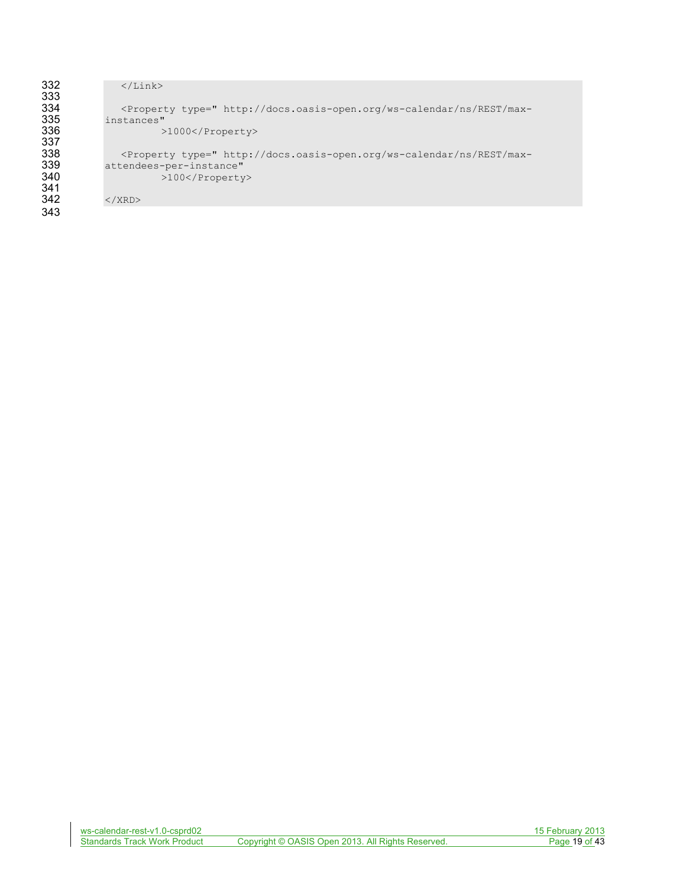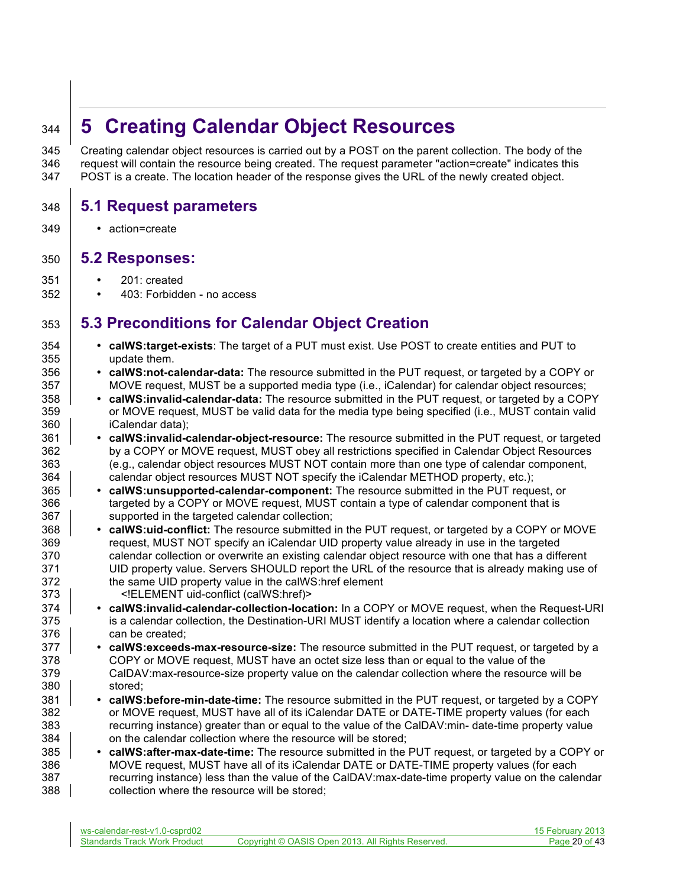# **5 Creating Calendar Object Resources**

 Creating calendar object resources is carried out by a POST on the parent collection. The body of the request will contain the resource being created. The request parameter "action=create" indicates this POST is a create. The location header of the response gives the URL of the newly created object.

### **5.1 Request parameters**

• action=create

### **5.2 Responses:**

- 201: created
- 403: Forbidden no access

# **5.3 Preconditions for Calendar Object Creation**

- **calWS:target-exists**: The target of a PUT must exist. Use POST to create entities and PUT to update them.
- **calWS:not-calendar-data:** The resource submitted in the PUT request, or targeted by a COPY or 357 MOVE request, MUST be a supported media type (i.e., iCalendar) for calendar object resources;
- **calWS:invalid-calendar-data:** The resource submitted in the PUT request, or targeted by a COPY or MOVE request, MUST be valid data for the media type being specified (i.e., MUST contain valid iCalendar data);
- **calWS:invalid-calendar-object-resource:** The resource submitted in the PUT request, or targeted by a COPY or MOVE request, MUST obey all restrictions specified in Calendar Object Resources (e.g., calendar object resources MUST NOT contain more than one type of calendar component, 364 calendar object resources MUST NOT specify the iCalendar METHOD property, etc.);
- **calWS:unsupported-calendar-component:** The resource submitted in the PUT request, or 366 targeted by a COPY or MOVE request, MUST contain a type of calendar component that is 367 | supported in the targeted calendar collection;
- **calWS:uid-conflict:** The resource submitted in the PUT request, or targeted by a COPY or MOVE request, MUST NOT specify an iCalendar UID property value already in use in the targeted calendar collection or overwrite an existing calendar object resource with one that has a different UID property value. Servers SHOULD report the URL of the resource that is already making use of the same UID property value in the calWS:href element <!ELEMENT uid-conflict (calWS:href)>
- **calWS:invalid-calendar-collection-location:** In a COPY or MOVE request, when the Request-URI is a calendar collection, the Destination-URI MUST identify a location where a calendar collection **can be created**;
- **calWS:exceeds-max-resource-size:** The resource submitted in the PUT request, or targeted by a COPY or MOVE request, MUST have an octet size less than or equal to the value of the CalDAV:max-resource-size property value on the calendar collection where the resource will be stored;
- **calWS:before-min-date-time:** The resource submitted in the PUT request, or targeted by a COPY or MOVE request, MUST have all of its iCalendar DATE or DATE-TIME property values (for each recurring instance) greater than or equal to the value of the CalDAV:min- date-time property value **Fig.** on the calendar collection where the resource will be stored;
- **calWS:after-max-date-time:** The resource submitted in the PUT request, or targeted by a COPY or MOVE request, MUST have all of its iCalendar DATE or DATE-TIME property values (for each recurring instance) less than the value of the CalDAV:max-date-time property value on the calendar **collection where the resource will be stored:**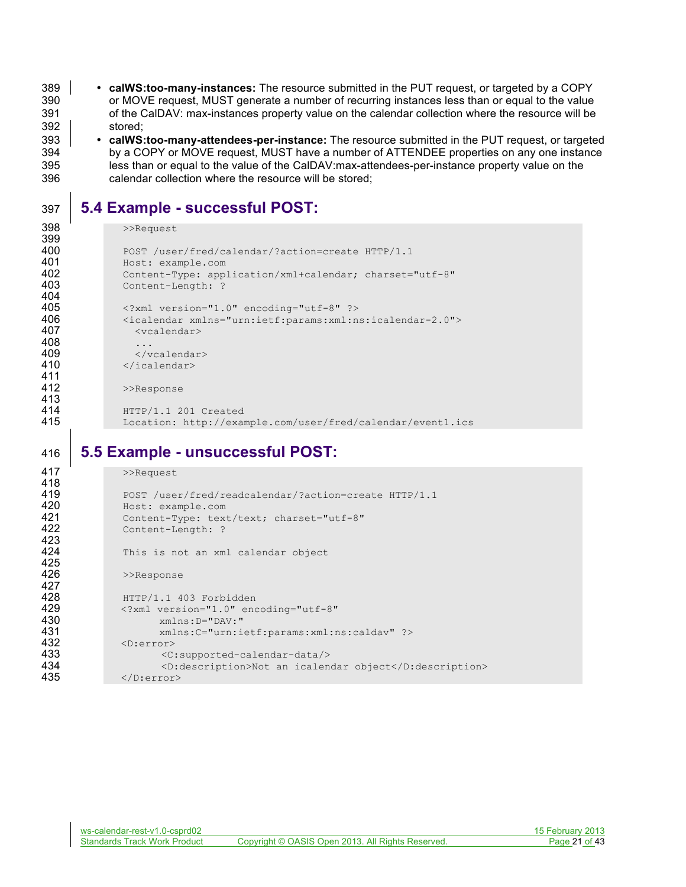389 • **calWS:too-many-instances:** The resource submitted in the PUT request, or targeted by a COPY or MOVE request, MUST generate a number of recurring instances less than or equal to the value 391 of the CalDAV: max-instances property value on the calendar collection where the resource will be 392 stored;

 • **calWS:too-many-attendees-per-instance:** The resource submitted in the PUT request, or targeted by a COPY or MOVE request, MUST have a number of ATTENDEE properties on any one instance less than or equal to the value of the CalDAV:max-attendees-per-instance property value on the calendar collection where the resource will be stored;

# 397 **5.4 Example - successful POST:**

```
398 >>Request
```

```
399
400 POST /user/fred/calendar/?action=create HTTP/1.1<br>401 Host: example.com
401 Host: example.com<br>402 Content-Type: app.
402 Content-Type: application/xml+calendar; charset="utf-8"
               Content-Length: ?
404<br>405
405 < ?xml version="1.0" encoding="utf-8" ?><br>406 < icalendar xmlns="urn:ietf:params:xml:n
406 <icalendar xmlns="urn:ietf:params:xml:ns:icalendar-2.0"><br>407 <wcalendar>
                  407 <vcalendar>
408<br>409
409 </vcalendar><br>410 </icalendar>
                410 </icalendar>
411<br>412
                >>Response
413
414 HTTP/1.1 201 Created
415 Location: http://example.com/user/fred/calendar/event1.ics
```
# 416 **5.5 Example - unsuccessful POST:**

| 417 | >>Request                                              |
|-----|--------------------------------------------------------|
| 418 |                                                        |
| 419 | POST /user/fred/readcalendar/?action=create HTTP/1.1   |
| 420 | Host: example.com                                      |
| 421 | Content-Type: text/text; charset="utf-8"               |
| 422 | Content-Length: ?                                      |
| 423 |                                                        |
| 424 | This is not an xml calendar object                     |
| 425 |                                                        |
| 426 | >>Response                                             |
| 427 |                                                        |
| 428 | HTTP/1.1 403 Forbidden                                 |
| 429 | xml version="1.0" encoding="utf-8"</th                 |
| 430 | $xmlns: D = "DAV: "$                                   |
| 431 | xmlns:C="urn:ietf:params:xml:ns:caldav" ?>             |
| 432 | $\langle$ D:error $\rangle$                            |
| 433 | $\langle C: \text{supported-calendar-data} \rangle$    |
| 434 | <d:description>Not an icalendar object</d:description> |
| 435 | $\langle$ D:error>                                     |
|     |                                                        |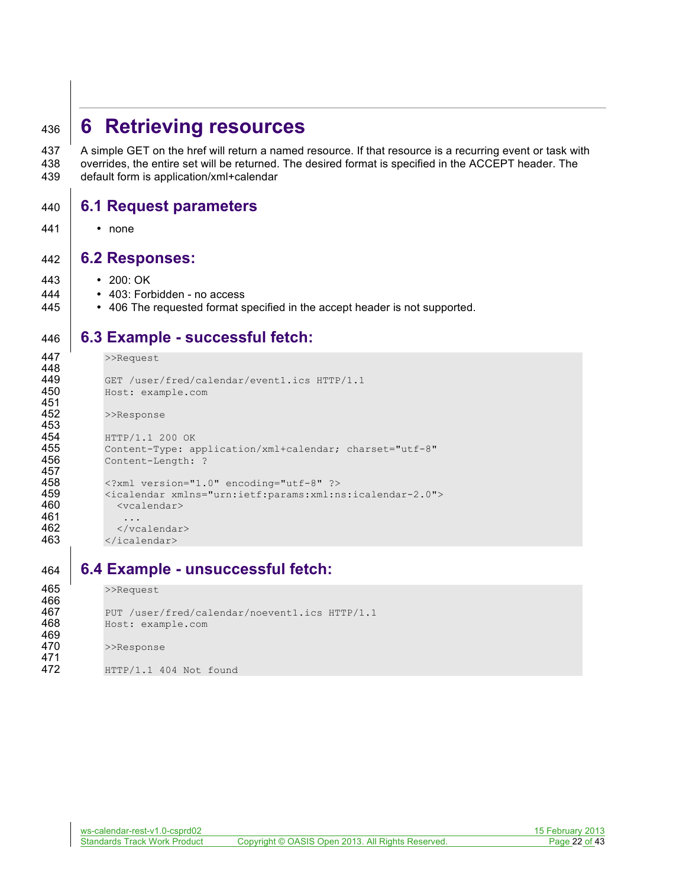# **6 Retrieving resources**

 A simple GET on the href will return a named resource. If that resource is a recurring event or task with overrides, the entire set will be returned. The desired format is specified in the ACCEPT header. The default form is application/xml+calendar

### **6.1 Request parameters**

• none

#### **6.2 Responses:**

- 200: OK
- **•** 403: Forbidden no access
- **•** 406 The requested format specified in the accept header is not supported.

# **6.3 Example - successful fetch:**

```
447 >>Request
448
449 GET /user/fred/calendar/event1.ics HTTP/1.1<br>450 Host: example.com
             450 Host: example.com
451
452 >>Response
453
454 HTTP/1.1 200 OK<br>455 Content-Type: a
455 Content-Type: application/xml+calendar; charset="utf-8"<br>456 Content-Length: ?
             Content-Length: ?
457
458 <?xml version="1.0" encoding="utf-8" ?><br>459 <icalendar xmlns="urn:ietf:params:xml:n
459 <icalendar xmlns="urn:ietf:params:xml:ns:icalendar-2.0">
               460 <vcalendar>
461<br>462
462 </vcalendar><br>463 </icalendar>
             463 </icalendar>
```
# **6.4 Example - unsuccessful fetch:**

```
465 >>Request
466<br>467
467 PUT /user/fred/calendar/noevent1.ics HTTP/1.1<br>468 Host: example.com
            468 Host: example.com
469
470 >>Response
471<br>472
            472 HTTP/1.1 404 Not found
```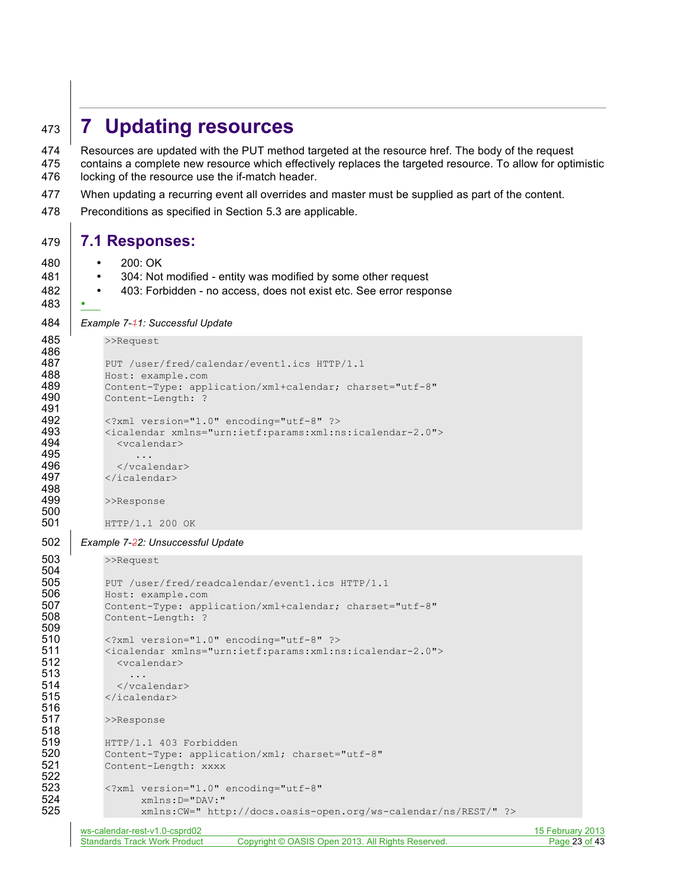# <sup>473</sup> **7 Updating resources**

474 Resources are updated with the PUT method targeted at the resource href. The body of the request 475 contains a complete new resource which effectively replaces the targeted resource. To allow for optimistic 476 locking of the resource use the if-match header.

- 477 When updating a recurring event all overrides and master must be supplied as part of the content.
- 478 Preconditions as specified in Section 5.3 are applicable.

#### 479 **7.1 Responses:**

- 480 200: OK
- 481 304: Not modified entity was modified by some other request
- 482 **•** 403: Forbidden no access, does not exist etc. See error response
- 483 •

500<br>501

```
484 Example 7-11: Successful Update
```

```
485 >>Request
486
487 PUT /user/fred/calendar/event1.ics HTTP/1.1
488 Host: example.com<br>489 Content-Type: app
489 Content-Type: application/xml+calendar; charset="utf-8"<br>490 Content-Length: ?
           Content-Length: ?
491
492 <?xml version="1.0" encoding="utf-8" ?><br>493 <icalendar xmlns="urn:ietf:params:xml:n
493 <icalendar xmlns="urn:ietf:params:xml:ns:icalendar-2.0">
              494 <vcalendar>
495 ...
496 </vcalendar>
497 </icalendar>
498<br>499
           >>Response
```

```
501 HTTP/1.1 200 OK
```
#### 502 *Example 7-22: Unsuccessful Update*

503 >>Request

```
504
505 PUT /user/fred/readcalendar/eventl.ics HTTP/1.1<br>506 Host: example.com
            506 Host: example.com
507 Content-Type: application/xml+calendar; charset="utf-8"<br>508 Content-Length: ?
            Content-Length: ?
509<br>510
            510 <?xml version="1.0" encoding="utf-8" ?>
511 <icalendar xmlns="urn:ietf:params:xml:ns:icalendar-2.0">
              512 <vcalendar>
513 ...
514 </vcalendar>
515 </icalendar>
516<br>517
            >>Response
518<br>519
519 HTTP/1.1 403 Forbidden<br>520 Content-Type: applicat
            520 Content-Type: application/xml; charset="utf-8"
521 Content-Length: xxxx
522
523 \langle 2 \times 2 \times 1 \rangle version="1.0" encoding="utf-8"<br>524 \timesmlns:D="DAV:"
524 xmlns:D="DAV:"<br>525 xmlns:CW=" htt
                   525 xmlns:CW=" http://docs.oasis-open.org/ws-calendar/ns/REST/" ?>
```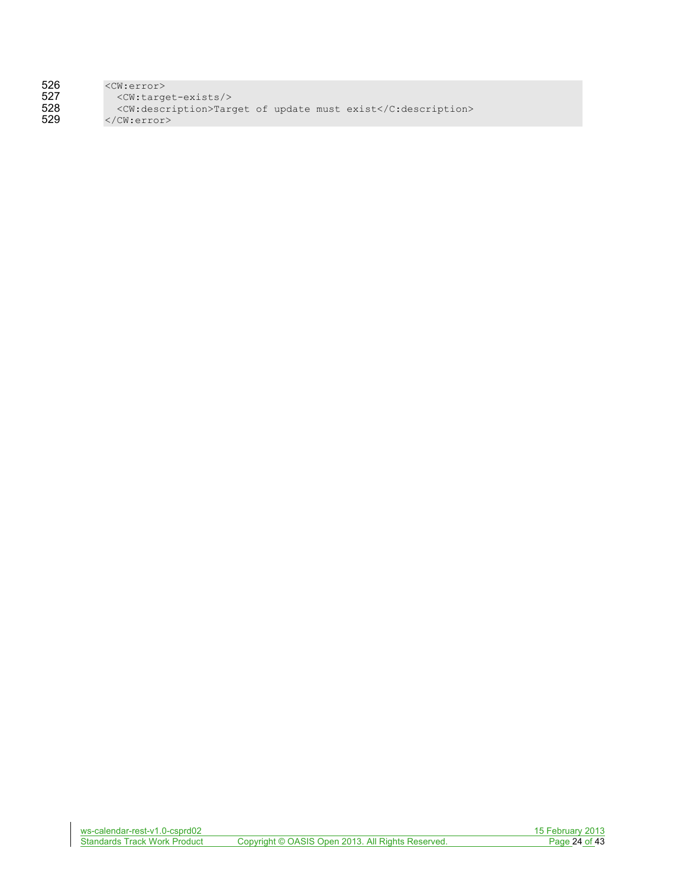| 526 | $\langle CW:error \rangle$                                   |
|-----|--------------------------------------------------------------|
| 527 | $<$ CW:target-exists/>                                       |
| 528 | <cw:description>Target of update must exist</cw:description> |
| 529 | $\langle$ /CW:error>                                         |
|     |                                                              |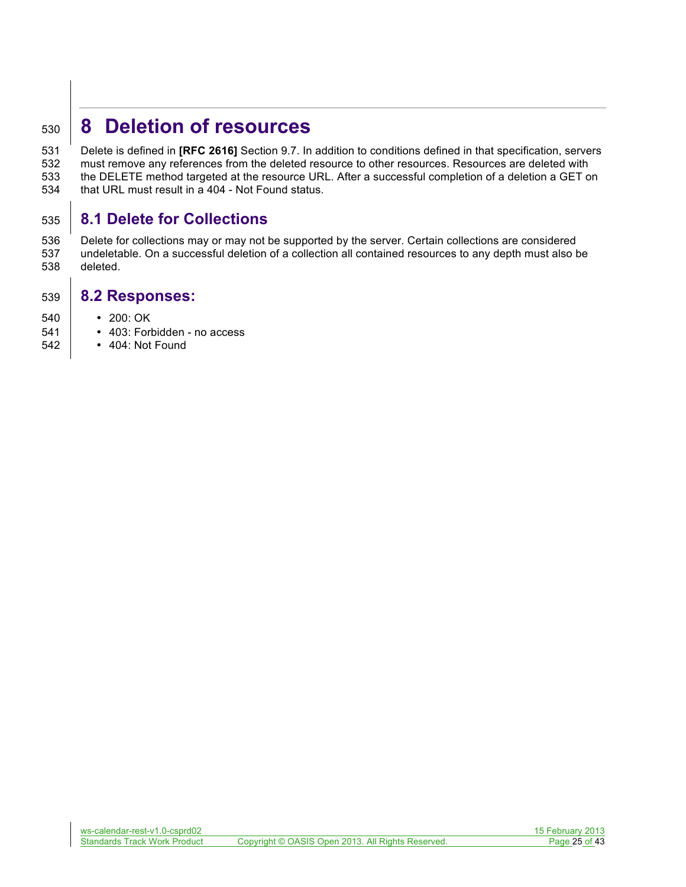# **8 Deletion of resources**

 Delete is defined in **[RFC 2616]** Section 9.7. In addition to conditions defined in that specification, servers must remove any references from the deleted resource to other resources. Resources are deleted with the DELETE method targeted at the resource URL. After a successful completion of a deletion a GET on that URL must result in a 404 - Not Found status.

# **8.1 Delete for Collections**

 Delete for collections may or may not be supported by the server. Certain collections are considered undeletable. On a successful deletion of a collection all contained resources to any depth must also be deleted.

#### **8.2 Responses:**

- 200: OK
- 403: Forbidden no access
- 404: Not Found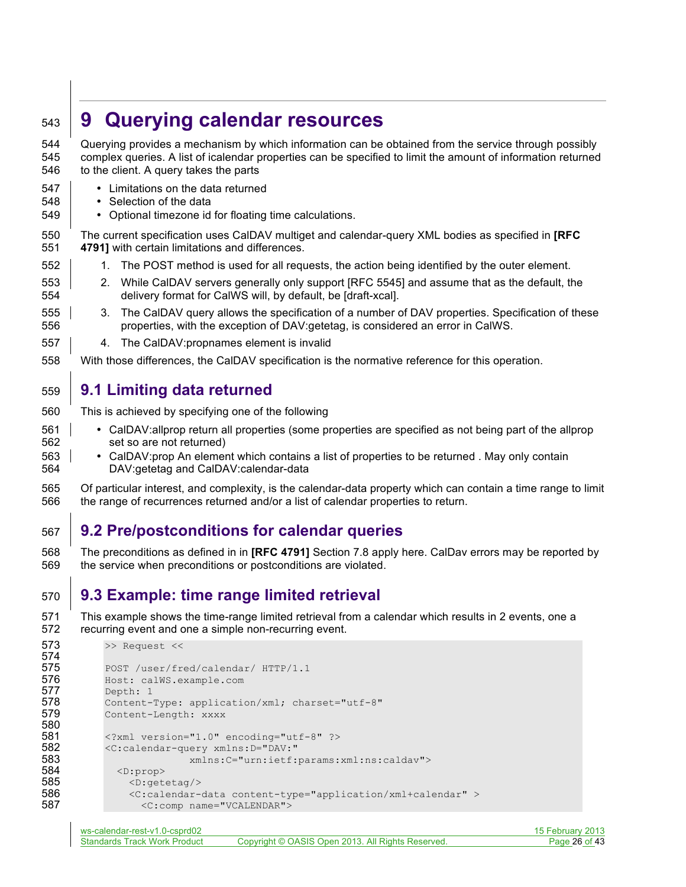# **9 Querying calendar resources**

 Querying provides a mechanism by which information can be obtained from the service through possibly complex queries. A list of icalendar properties can be specified to limit the amount of information returned to the client. A query takes the parts

- Limitations on the data returned
- Selection of the data
- Optional timezone id for floating time calculations.

 The current specification uses CalDAV multiget and calendar-query XML bodies as specified in **[RFC 4791]** with certain limitations and differences.

- 552 1. The POST method is used for all requests, the action being identified by the outer element.
- 2. While CalDAV servers generally only support [RFC 5545] and assume that as the default, the delivery format for CalWS will, by default, be [draft-xcal].
- 555 3. The CalDAV query allows the specification of a number of DAV properties. Specification of these properties, with the exception of DAV:getetag, is considered an error in CalWS.
- 4. The CalDAV:propnames element is invalid
- With those differences, the CalDAV specification is the normative reference for this operation.

# **9.1 Limiting data returned**

- This is achieved by specifying one of the following
- CalDAV:allprop return all properties (some properties are specified as not being part of the allprop set so are not returned)
- CalDAV:prop An element which contains a list of properties to be returned . May only contain DAV:getetag and CalDAV:calendar-data
- Of particular interest, and complexity, is the calendar-data property which can contain a time range to limit the range of recurrences returned and/or a list of calendar properties to return.

# **9.2 Pre/postconditions for calendar queries**

 The preconditions as defined in in **[RFC 4791]** Section 7.8 apply here. CalDav errors may be reported by the service when preconditions or postconditions are violated.

# **9.3 Example: time range limited retrieval**

 This example shows the time-range limited retrieval from a calendar which results in 2 events, one a recurring event and one a simple non-recurring event.

```
573 >> Request <<
574
575 POST /user/fred/calendar/ HTTP/1.1
576 Host: calWS.example.com
577 Depth: 1<br>578 Content-
578 Content-Type: application/xml; charset="utf-8"<br>579 Content-Length: xxxx
            Content-Length: xxxx
580
581 <?xml version="1.0" encoding="utf-8" ?><br>582 < C:calendar-query xmlns: D="DAV:"
            582 <C:calendar-query xmlns:D="DAV:"
583 xmlns:C="urn:ietf:params:xml:ns:caldav">
584 <D:prop><br>585 <D:prop>
585 <D:getetag/><br>586 <c:calendar=
586 <C:calendar-data content-type="application/xml+calendar" ><br>587 <C:comp name="VCALENDAR">
                   587 <C:comp name="VCALENDAR">
```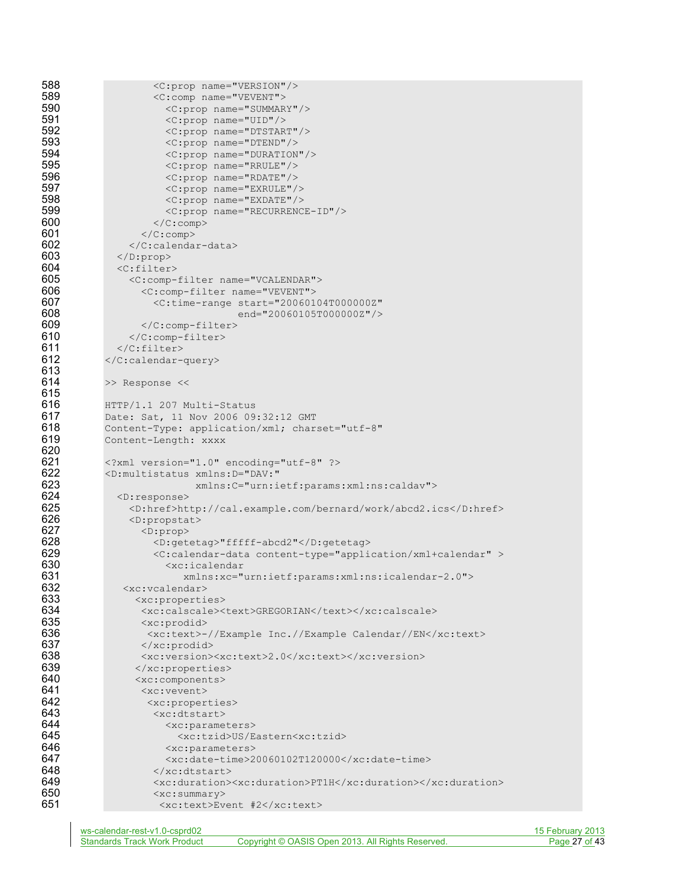```
588 < C:prop name="VERSION"/><br>589 < C:comp name="VEVENT">
589 <C:comp name="VEVENT"><br>590 < C:prop name="SUMMAR
590 < C:prop name="SUMMARY"/><br>591 < C:prop name="UID"/>
591 < C:prop name="UID"/><br>592 < C:prop name="DTSTAR
592 <C:prop name="DTSTART"/>
593 < C:prop name="DTEND"/><br>594 < C:prop name="DURATION">
594 <c:prop name="DURATION"/><br>595 <c:prop name="RRULE"/>
595 <c:prop name="RRULE"/><br>596 <c:prop name="RDATE"/>
596 <C:prop name="RDATE"/>
597 <C:prop name="EXRULE"/>
598 <c:prop name="EXDATE"/><br>599 <c:prop name="RECURRENC
599 <c:prop name="RECURRENCE-ID"/><br>600 </c:comp>
600 </C:comp><br>601 </C:comp>
601 </C:comp><br>602 </C:calenda
602 \langle/C:calendar-data><br>603 \langleD:prop>
              603 </D:prop>
604 <c:filter><br>605 <c:comp-
605 < C:comp-filter name="VCALENDAR"><br>606 < C:comp-filter name="VEVENT">
606 <C:comp-filter name="VEVENT">
607 <C:time-range start="20060104T000000Z"
608 end="20060105T0000002"/><br>609 </C:comp-filter>
                   609 </C:comp-filter>
610 </C:comp-filter>
611 \langle/C:filter><br>612 \langle/C:calendar-
            612 </C:calendar-query>
613<br>614
            >> Response <<
615<br>616
            616 HTTP/1.1 207 Multi-Status
617 Date: Sat, 11 Nov 2006 09:32:12 GMT
618 Content-Type: application/xml; charset="utf-8"
619 Content-Length: xxxx
620<br>621
621 <?xml version="1.0" encoding="utf-8" ?><br>622 < > <D:multistatus xmlns:D="DAV:"
622 <D:multistatus xmlns:D="DAV:"
                             623 xmlns:C="urn:ietf:params:xml:ns:caldav">
624 <D:response><br>625 <br />
<br />
<br />
<br />
<br />
<br />
<br />
<br />
<br />
<br />
<br />
<br />
<br />
<br />
<br />
<br />
<br />
<br />
<br />
<br />
<br />
<br />
<br />
<br />
<br />
<br />
<br />
<br />
<br /
625 <D:href>http://cal.example.com/bernard/work/abcd2.ics</D:href><br>626 < <br/>>>>>>>>
626 <D:propstat>
627 <D:prop><br>628 <D:get
628 <D:getetag>"fffff-abcd2"</D:getetag>
629 \langleC:calendar-data content-type="application/xml+calendar" > 630
                        630 <xc:icalendar 
631 xmlns:xc="urn:ietf:params:xml:ns:icalendar-2.0">
632 <xc:vcalendar><br>633 <xc:properti
633 <xc:properties>
634 <xc:calscale><text>GREGORIAN</text></xc:calscale><br>635 <xc:prodid>
635 <xc:prodid>
636 \leq xc:text>-//Example Inc.//Example Calendar//EN</xc:text> 637
637 </xc:prodid><br>638 <xc:version>
                  638 <xc:version><xc:text>2.0</xc:text></xc:version>
639 </xc:properties><br>640 < xc:components>
640 <xc:components><br>641 <xc:vevent>
641 <xc:vevent>
642 <xc:properties>
643 <xc:dtstart><br>644 <xc:parame
644 <xc:parameters><br>645 <xc:tzid>US/E
                         645 <xc:tzid>US/Eastern<xc:tzid>
646 <xc:parameters><br>647 <xc:date-time>2
                        647 <xc:date-time>20060102T120000</xc:date-time>
648 \langle/xc:dtstart><br>649 \langlexc:duration>
649 \langlexc:duration>\timesxc:duration>\frac{1}{2}H</xc:duration>\frac{650}{2}650 <xc:summary>
                      651 <xc:text>Event #2</xc:text>
```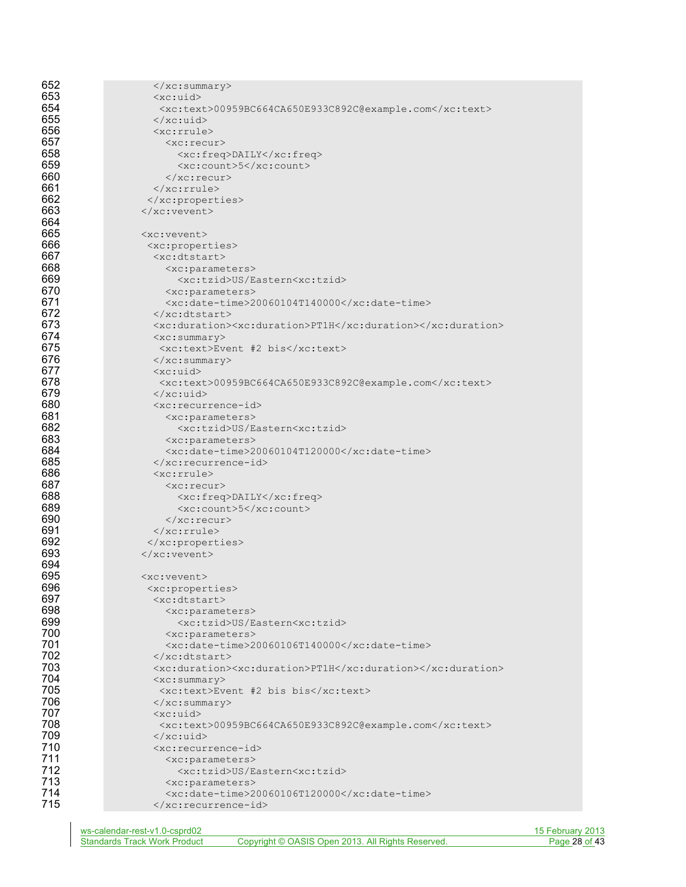| 652 | $\langle xc:summary\rangle$                                  |
|-----|--------------------------------------------------------------|
| 653 | $<$ xc:uid>                                                  |
| 654 | <xc:text>00959BC664CA650E933C892C@example.com</xc:text>      |
| 655 | $\langle x \rangle$ /xc:uid                                  |
| 656 | $<$ xc: rrule>                                               |
| 657 | $<$ xc:recur>                                                |
| 658 | <xc:freq>DAILY</xc:freq>                                     |
| 659 | <xc:count>5</xc:count>                                       |
| 660 | $\langle xc:recur\rangle$                                    |
| 661 | $\langle xc:rrule \rangle$                                   |
| 662 |                                                              |
| 663 | $\langle xc: \text{vector}\rangle$                           |
| 664 |                                                              |
| 665 | $<$ xc: vevent>                                              |
| 666 | <xc:properties></xc:properties>                              |
| 667 | $<$ xc:dtstart>                                              |
| 668 | <xc:parameters></xc:parameters>                              |
| 669 | <xc:tzid>US/Eastern<xc:tzid></xc:tzid></xc:tzid>             |
| 670 | <xc:parameters></xc:parameters>                              |
| 671 | $\langle xc:date-time>20060104T140000<\rangle$ xc:date-time> |
| 672 | $\langle x \rangle$ /xc:dtstart>                             |
| 673 | <xc:duration><xc:duration>PT1H</xc:duration></xc:duration>   |
| 674 | $\langle xc:summary\rangle$                                  |
| 675 | <xc:text>Event #2 bis</xc:text>                              |
| 676 | $\langle xc:summary\rangle$                                  |
| 677 | $\langle xc:uid\rangle$                                      |
| 678 | <xc:text>00959BC664CA650E933C892C@example.com</xc:text>      |
| 679 | $\langle x \rangle$ /xc:uid                                  |
| 680 | <xc:recurrence-id></xc:recurrence-id>                        |
| 681 | <xc:parameters></xc:parameters>                              |
| 682 | <xc:tzid>US/Eastern<xc:tzid></xc:tzid></xc:tzid>             |
| 683 | <xc:parameters></xc:parameters>                              |
| 684 | <xc:date-time>20060104T120000</xc:date-time>                 |
| 685 |                                                              |
| 686 | $<$ xc: rrule>                                               |
| 687 | $<$ xc: recur>                                               |
| 688 | <xc:freq>DAILY</xc:freq>                                     |
| 689 | $\langle xc:count\rangle$ 5 $\langle xc:count\rangle$        |
| 690 | $\langle xc:recur\rangle$                                    |
| 691 | $\langle xc:rrule \rangle$                                   |
| 692 |                                                              |
| 693 | $\langle$ /xc:vevent>                                        |
| 694 |                                                              |
| 695 | $\langle xc:viewent\rangle$                                  |
| 696 | <xc:properties></xc:properties>                              |
| 697 | <xc:dtstart></xc:dtstart>                                    |
| 698 | <xc:parameters></xc:parameters>                              |
| 699 | <xc:tzid>US/Eastern<xc:tzid></xc:tzid></xc:tzid>             |
| 700 | <xc:parameters></xc:parameters>                              |
| 701 | <xc:date-time>20060106T140000</xc:date-time>                 |
| 702 | $\langle x$ c:dtstart>                                       |
| 703 | <xc:duration><xc:duration>PT1H</xc:duration></xc:duration>   |
| 704 | $\langle xc:summary\rangle$                                  |
| 705 | <xc:text>Event #2 bis bis</xc:text>                          |
| 706 | $\langle xc:summary\rangle$                                  |
| 707 | $<$ xc:uid>                                                  |
| 708 | <xc:text>00959BC664CA650E933C892C@example.com</xc:text>      |
| 709 | $\langle x \rangle$ /xc:uid                                  |
| 710 | <xc:recurrence-id></xc:recurrence-id>                        |
| 711 | <xc:parameters></xc:parameters>                              |
| 712 | <xc:tzid>US/Eastern<xc:tzid></xc:tzid></xc:tzid>             |
| 713 | <xc:parameters></xc:parameters>                              |
| 714 | <xc:date-time>20060106T120000</xc:date-time>                 |
| 715 |                                                              |
|     |                                                              |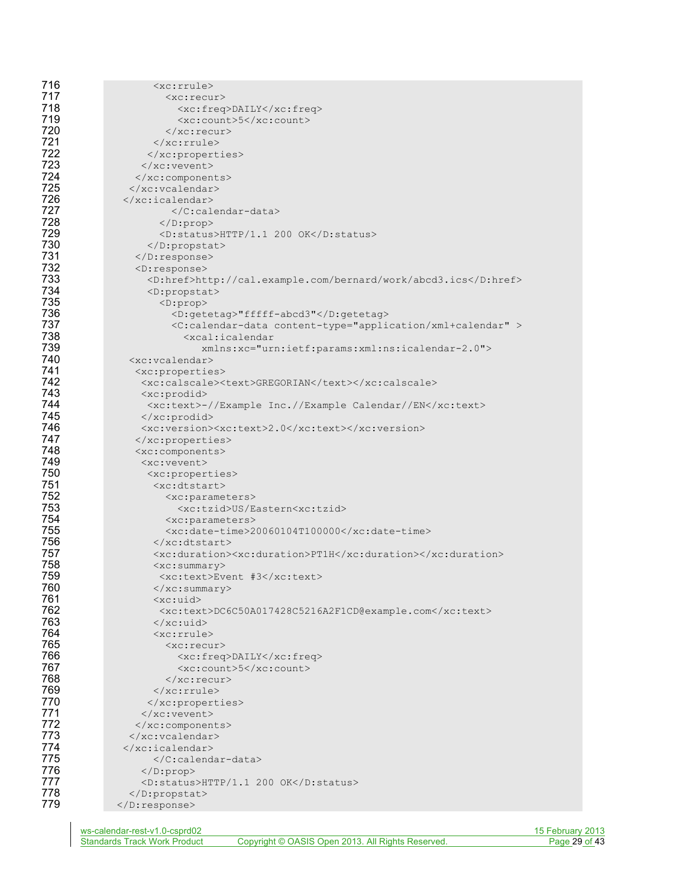| 716        | <xc:rrule></xc:rrule>                                                       |
|------------|-----------------------------------------------------------------------------|
| 717        | <xc:recur></xc:recur>                                                       |
| 718        | <xc:freq>DAILY</xc:freq>                                                    |
| 719        | <xc:count>5</xc:count>                                                      |
| 720        | $\langle xc:recur\rangle$                                                   |
| 721        | $\langle x$ c: rrule>                                                       |
| 722        |                                                                             |
| 723        |                                                                             |
| 724        |                                                                             |
| 725        | $\langle xc:vcalendar\rangle$                                               |
| 726        | $\langle x$ c:icalendar>                                                    |
| 727        |                                                                             |
| 728        | $\langle$ /D:prop>                                                          |
| 729        | <d:status>HTTP/1.1 200 OK</d:status>                                        |
| 730        |                                                                             |
| 731        | $\langle$ D:response>                                                       |
| 732        | $<$ D: response>                                                            |
| 733        | <d:href>http://cal.example.com/bernard/work/abcd3.ics</d:href>              |
| 734        | <d:propstat></d:propstat>                                                   |
| 735        | $<$ D:prop>                                                                 |
| 736        | <d:getetag>"fffff-abcd3"</d:getetag>                                        |
| 737        | <c:calendar-data content-type="application/xml+calendar"></c:calendar-data> |
| 738        | <xcal:icalendar< th=""></xcal:icalendar<>                                   |
| 739        | xmlns:xc="urn:ietf:params:xml:ns:icalendar-2.0">                            |
| 740        | <xc:vcalendar></xc:vcalendar>                                               |
| 741        | <xc:properties></xc:properties>                                             |
| 742        | <xc:calscale><text>GREGORIAN</text></xc:calscale>                           |
| 743        | $\langle xc: \text{product}\rangle$                                         |
| 744        | <xc:text>-//Example Inc.//Example Calendar//EN</xc:text>                    |
| 745<br>746 |                                                                             |
| 747        | <xc:version><xc:text>2.0</xc:text></xc:version>                             |
| 748        |                                                                             |
| 749        | <xc:components></xc:components>                                             |
| 750        | <xc:vevent></xc:vevent>                                                     |
| 751        | <xc:properties><br/><xc:dtstart></xc:dtstart></xc:properties>               |
| 752        | <xc:parameters></xc:parameters>                                             |
| 753        | <xc:tzid>US/Eastern<xc:tzid></xc:tzid></xc:tzid>                            |
| 754        | <xc:parameters></xc:parameters>                                             |
| 755        | <xc:date-time>20060104T100000</xc:date-time>                                |
| 756        | $\langle x \rangle$ /xc:dtstart>                                            |
| 757        | <xc:duration><xc:duration>PT1H</xc:duration></xc:duration>                  |
| 758        | $\langle xc:summary\rangle$                                                 |
| 759        | <xc:text>Event #3</xc:text>                                                 |
| 760        | $\langle xc:summary\rangle$                                                 |
| 761        | $<$ xc:uid $>$                                                              |
| 762        | <xc:text>DC6C50A017428C5216A2F1CD@example.com</xc:text>                     |
| 763        |                                                                             |
| 764        | <xc:rrule></xc:rrule>                                                       |
| 765        | <xc:recur></xc:recur>                                                       |
| 766        | <xc:freq>DAILY</xc:freq>                                                    |
| 767        | <xc:count>5</xc:count>                                                      |
| 768        |                                                                             |
| 769        | $\langle xc:rrule\rangle$                                                   |
| 770        |                                                                             |
| 771        |                                                                             |
| 772        |                                                                             |
| 773        |                                                                             |
| 774        |                                                                             |
| 775        |                                                                             |
| 776<br>777 | $\langle$ /D:prop>                                                          |
| 778        | <d:status>HTTP/1.1 200 OK</d:status>                                        |
| 779        | <br>                                                                        |
|            |                                                                             |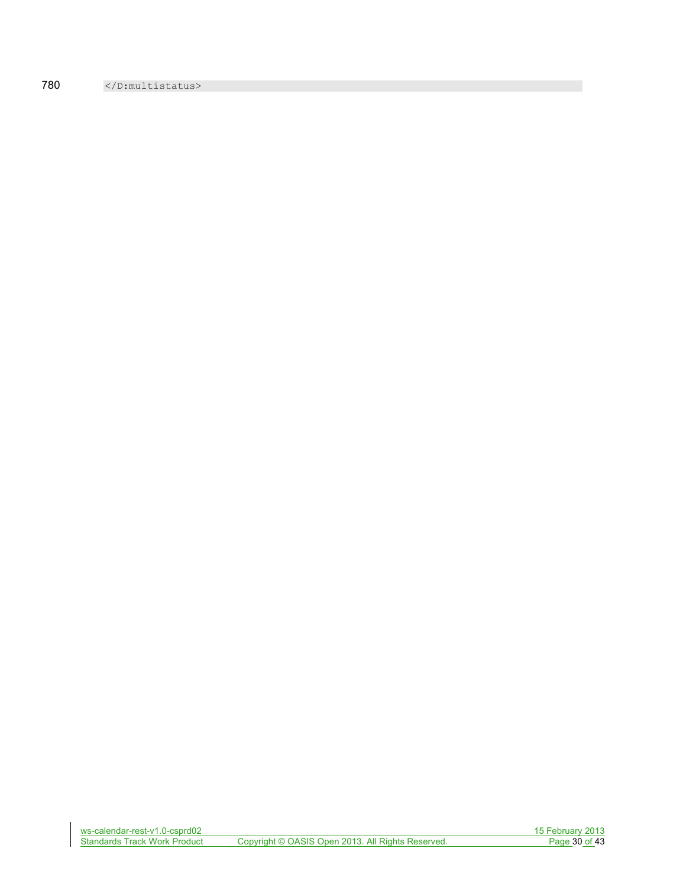780 </D:multistatus>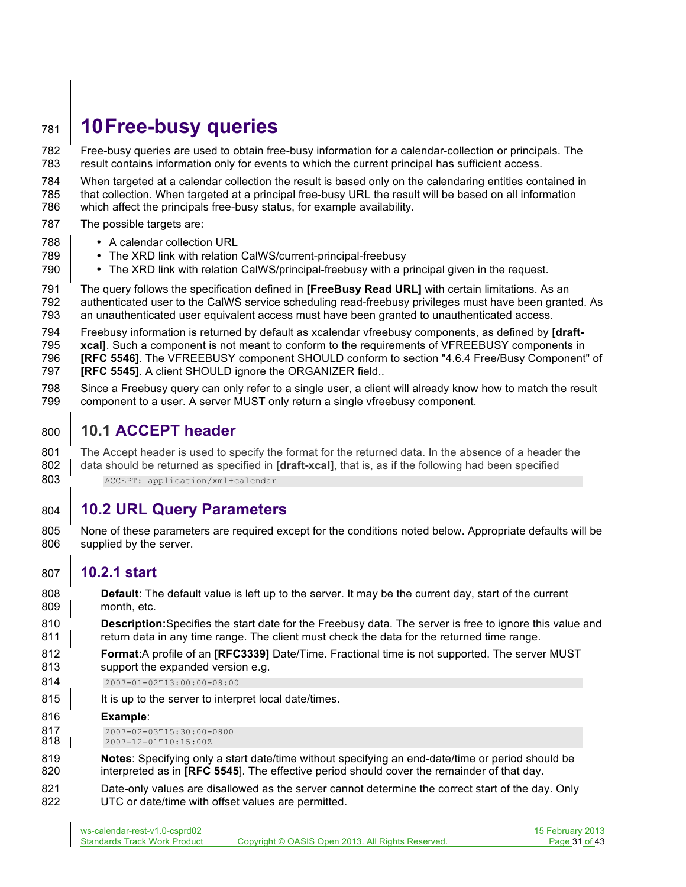# **10Free-busy queries**

 Free-busy queries are used to obtain free-busy information for a calendar-collection or principals. The result contains information only for events to which the current principal has sufficient access.

 When targeted at a calendar collection the result is based only on the calendaring entities contained in that collection. When targeted at a principal free-busy URL the result will be based on all information

which affect the principals free-busy status, for example availability.

- The possible targets are:
- **•** A calendar collection URL
- The XRD link with relation CalWS/current-principal-freebusy
- **•** The XRD link with relation CalWS/principal-freebusy with a principal given in the request.
- The query follows the specification defined in **[FreeBusy Read URL]** with certain limitations. As an authenticated user to the CalWS service scheduling read-freebusy privileges must have been granted. As an unauthenticated user equivalent access must have been granted to unauthenticated access.
- Freebusy information is returned by default as xcalendar vfreebusy components, as defined by **[draft-**

**795 xcal]**. Such a component is not meant to conform to the requirements of VFREEBUSY components in **[RFC 5546]**. The VFREEBUSY component SHOULD conform to section "4.6.4 Free/Busy Component" of

- **[RFC 5545]**. A client SHOULD ignore the ORGANIZER field..
- Since a Freebusy query can only refer to a single user, a client will already know how to match the result component to a user. A server MUST only return a single vfreebusy component.
- **10.1 ACCEPT header**

 The Accept header is used to specify the format for the returned data. In the absence of a header the 802 data should be returned as specified in **[draft-xcal]**, that is, as if the following had been specified 803 ACCEPT: application/xml+calendar

# **10.2 URL Query Parameters**

 None of these parameters are required except for the conditions noted below. Appropriate defaults will be supplied by the server.

#### **10.2.1 start**

 **Default**: The default value is left up to the server. It may be the current day, start of the current 809 month, etc.

 **Description:**Specifies the start date for the Freebusy data. The server is free to ignore this value and 811 ereturn data in any time range. The client must check the data for the returned time range.

- **Format**:A profile of an **[RFC3339]** Date/Time. Fractional time is not supported. The server MUST
- support the expanded version e.g.
- 2007-01-02T13:00:00-08:00
- 815 | It is up to the server to interpret local date/times.
- **Example**:
- 817 2007-02-03T15:30:00-0800<br>818 | 2007-12-01T10:15:00Z
- 2007-12-01T10:15:00Z
- **Notes**: Specifying only a start date/time without specifying an end-date/time or period should be interpreted as in **[RFC 5545**]. The effective period should cover the remainder of that day.
- Date-only values are disallowed as the server cannot determine the correct start of the day. Only UTC or date/time with offset values are permitted.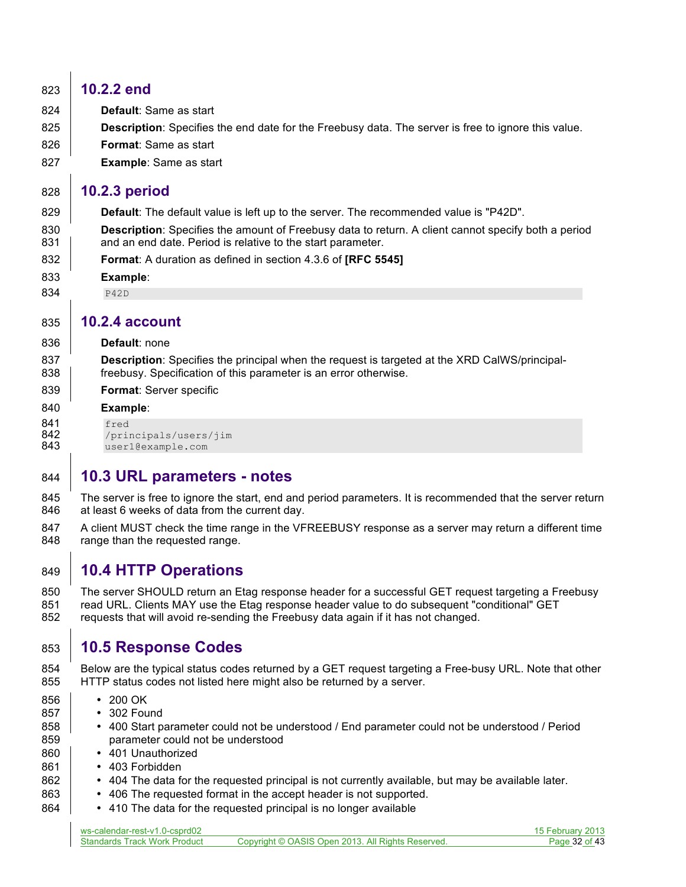# **10.2.2 end Default**: Same as start **Description**: Specifies the end date for the Freebusy data. The server is free to ignore this value. **Format**: Same as start **Example**: Same as start **10.2.3 period Default**: The default value is left up to the server. The recommended value is "P42D". **Description**: Specifies the amount of Freebusy data to return. A client cannot specify both a period **and an end date. Period is relative to the start parameter. Format**: A duration as defined in section 4.3.6 of **[RFC 5545] Example**: 834 P42D **10.2.4 account Default**: none **Description**: Specifies the principal when the request is targeted at the XRD CalWS/principal-838 Freebusy. Specification of this parameter is an error otherwise. **Format**: Server specific **Example**: **841** fred<br>**842** /pri 842 /principals/users/jim<br>843 user1@example.com user1@example.com

# **10.3 URL parameters - notes**

845 The server is free to ignore the start, end and period parameters. It is recommended that the server return 846 at least 6 weeks of data from the current day.

847 A client MUST check the time range in the VFREEBUSY response as a server may return a different time 848 range than the requested range.

# **10.4 HTTP Operations**

 The server SHOULD return an Etag response header for a successful GET request targeting a Freebusy 851 read URL. Clients MAY use the Etag response header value to do subsequent "conditional" GET requests that will avoid re-sending the Freebusy data again if it has not changed.

# **10.5 Response Codes**

 Below are the typical status codes returned by a GET request targeting a Free-busy URL. Note that other HTTP status codes not listed here might also be returned by a server.

- **200 OK**
- **302 Found**
- 858 | 400 Start parameter could not be understood / End parameter could not be understood / Period 859 parameter could not be understood
- 401 Unauthorized
- 861 403 Forbidden
- 404 The data for the requested principal is not currently available, but may be available later.
- **•** 406 The requested format in the accept header is not supported.
- **•** 410 The data for the requested principal is no longer available

| ws-calendar-rest-v1.0-csprd02       |                                                   | 15 February 2013 |
|-------------------------------------|---------------------------------------------------|------------------|
| <b>Standards Track Work Product</b> | Copyright © OASIS Open 2013. All Rights Reserved. | Page 32 of 43    |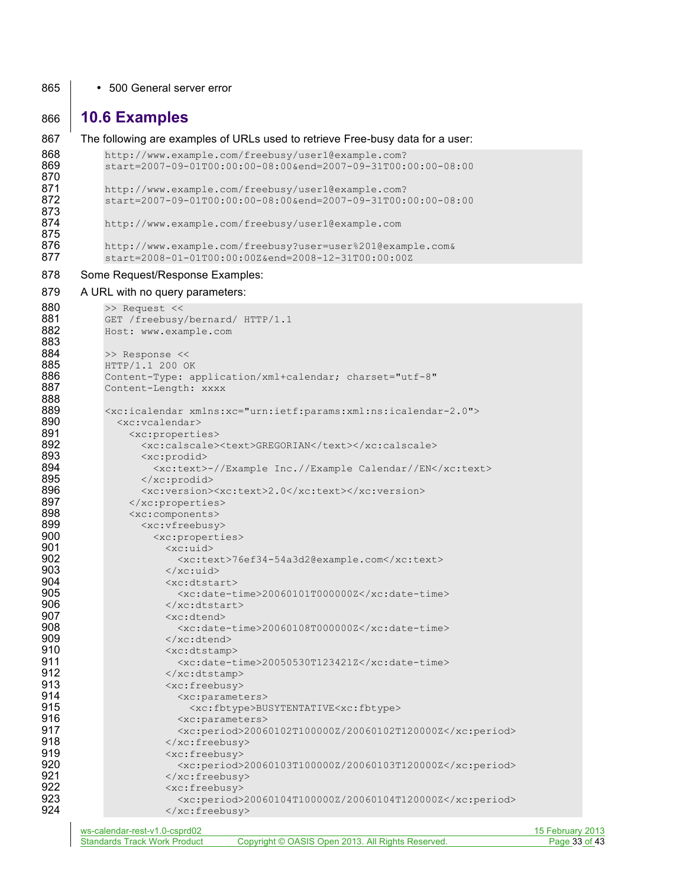#### 865 • 500 General server error

### **10.6 Examples**

```
867 The following are examples of URLs used to retrieve Free-busy data for a user:
868 http://www.example.com/freebusy/user1@example.com?<br>869 start=2007-09-01T00:00:00-08:00&end=2007-09-31T00:
              869 start=2007-09-01T00:00:00-08:00&end=2007-09-31T00:00:00-08:00
870<br>871
871 http://www.example.com/freebusy/user1@example.com?<br>872 start=2007-09-01T00:00:00-08:00&end=2007-09-31T00:
              872 start=2007-09-01T00:00:00-08:00&end=2007-09-31T00:00:00-08:00
873<br>874
              874 http://www.example.com/freebusy/user1@example.com
875
876 http://www.example.com/freebusy?user=user%201@example.com&<br>877 start=2008-01-01T00:00:00Z&end=2008-12-31T00:00:00Z
              877 start=2008-01-01T00:00:00Z&end=2008-12-31T00:00:00Z
878 Some Request/Response Examples:
879 A URL with no query parameters:
880 >> Request <<<br>881 GET /freebusy,
881 GET /freebusy/bernard/ HTTP/1.1<br>882 Host: www.example.com
              882 Host: www.example.com
```

| 883 |                                                                                         |                  |
|-----|-----------------------------------------------------------------------------------------|------------------|
| 884 | >> Response <<                                                                          |                  |
| 885 | HTTP/1.1 200 OK                                                                         |                  |
| 886 | Content-Type: application/xml+calendar; charset="utf-8"                                 |                  |
| 887 | Content-Length: xxxx                                                                    |                  |
| 888 |                                                                                         |                  |
| 889 | <xc:icalendar xmlns:xc="urn:ietf:params:xml:ns:icalendar-2.0"></xc:icalendar>           |                  |
| 890 | <xc:vcalendar></xc:vcalendar>                                                           |                  |
| 891 | <xc:properties></xc:properties>                                                         |                  |
| 892 | <xc:calscale><text>GREGORIAN</text></xc:calscale>                                       |                  |
| 893 | <xc:prodid></xc:prodid>                                                                 |                  |
| 894 | <xc:text>-//Example Inc.//Example Calendar//EN</xc:text>                                |                  |
| 895 | $\langle xc: \text{product}\rangle$                                                     |                  |
| 896 | <xc:version><xc:text>2.0</xc:text></xc:version>                                         |                  |
| 897 |                                                                                         |                  |
| 898 | <xc:components></xc:components>                                                         |                  |
| 899 | <xc:vfreebusy></xc:vfreebusy>                                                           |                  |
| 900 | <xc:properties></xc:properties>                                                         |                  |
| 901 | <xc:uid></xc:uid>                                                                       |                  |
| 902 | <xc:text>76ef34-54a3d2@example.com</xc:text>                                            |                  |
| 903 | $\langle x \rangle$ /xc:uid>                                                            |                  |
| 904 | $<$ xc:dtstart>                                                                         |                  |
| 905 | $< xc$ : date-time>20060101T000000Z                                                     |                  |
| 906 | $\langle x \rangle$ /xc:dtstart>                                                        |                  |
| 907 | $< xc:dt$ end>                                                                          |                  |
| 908 | <xc:date-time>20060108T000000Z</xc:date-time>                                           |                  |
| 909 | $\langle x \rangle$ xc:dtend>                                                           |                  |
| 910 | <xc:dtstamp></xc:dtstamp>                                                               |                  |
| 911 | <xc:date-time>20050530T123421Z</xc:date-time>                                           |                  |
| 912 | $\langle xc:dtstamp\rangle$                                                             |                  |
| 913 | <xc:freebusy></xc:freebusy>                                                             |                  |
| 914 | <xc:parameters></xc:parameters>                                                         |                  |
| 915 | <xc:fbtype>BUSYTENTATIVE<xc:fbtype></xc:fbtype></xc:fbtype>                             |                  |
| 916 | <xc:parameters></xc:parameters>                                                         |                  |
| 917 | <xc:period>20060102T100000Z/20060102T120000Z</xc:period>                                |                  |
| 918 | $\langle$ /xc:freebusy>                                                                 |                  |
| 919 | $\langle xc:freebusy\rangle$                                                            |                  |
| 920 | $\langle xc:period \rangle 20060103T100000Z/20060103T120000Z \langle xc:period \rangle$ |                  |
| 921 |                                                                                         |                  |
| 922 | <xc:freebusy></xc:freebusy>                                                             |                  |
| 923 | $\langle$ xc:period>20060104T100000Z/20060104T120000Z                                   |                  |
| 924 |                                                                                         |                  |
|     | We calendar rest y1 0 central                                                           | <b>15 Februa</b> |
|     |                                                                                         |                  |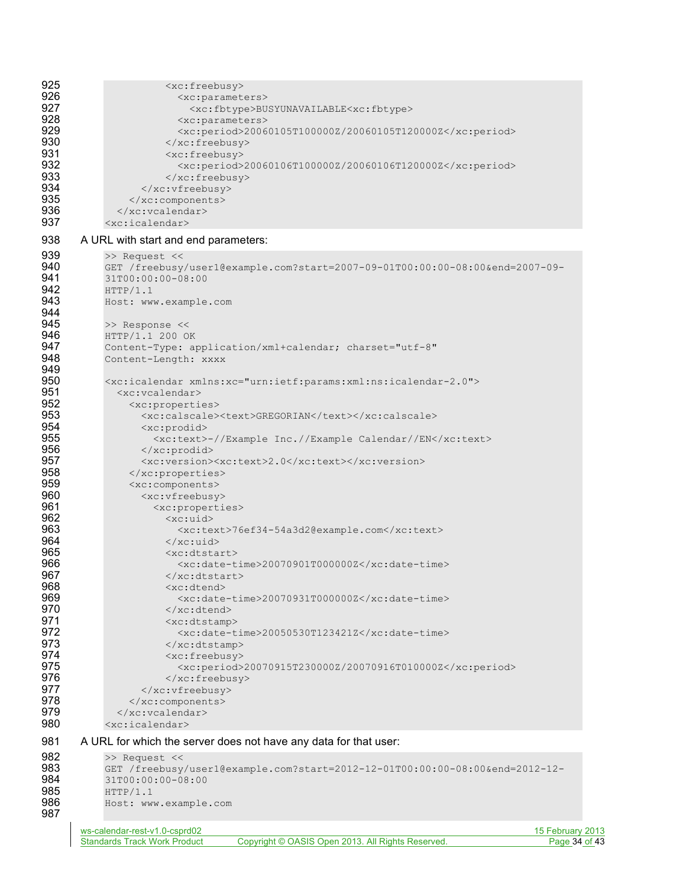| 925<br>926 | <xc:freebusy><br/><xc:parameters></xc:parameters></xc:freebusy>                                                           |                                   |
|------------|---------------------------------------------------------------------------------------------------------------------------|-----------------------------------|
| 927        | <xc:fbtype>BUSYUNAVAILABLE<xc:fbtype></xc:fbtype></xc:fbtype>                                                             |                                   |
| 928        | <xc:parameters></xc:parameters>                                                                                           |                                   |
| 929<br>930 | <xc:period>20060105T100000Z/20060105T120000Z</xc:period>                                                                  |                                   |
| 931        | $\langle xc:freebusy \rangle$<br>$\langle xc:freebusy\rangle$                                                             |                                   |
| 932        | <xc:period>20060106T100000Z/20060106T120000Z</xc:period>                                                                  |                                   |
| 933        | $\langle$ /xc:freebusy>                                                                                                   |                                   |
| 934<br>935 | <br>                                                                                                                      |                                   |
| 936        |                                                                                                                           |                                   |
| 937        | $\langle$ xc:icalendar>                                                                                                   |                                   |
| 938        | A URL with start and end parameters:                                                                                      |                                   |
| 939<br>940 | >> Request <<                                                                                                             |                                   |
| 941        | GET /freebusy/user1@example.com?start=2007-09-01T00:00:00-08:00&end=2007-09-<br>31T00:00:00-08:00                         |                                   |
| 942        | HTTP/1.1                                                                                                                  |                                   |
| 943        | Host: www.example.com                                                                                                     |                                   |
| 944<br>945 | >> Response <<                                                                                                            |                                   |
| 946        | HTTP/1.1 200 OK                                                                                                           |                                   |
| 947        | Content-Type: application/xml+calendar; charset="utf-8"                                                                   |                                   |
| 948<br>949 | Content-Length: xxxx                                                                                                      |                                   |
| 950        | <xc:icalendar xmlns:xc="urn:ietf:params:xml:ns:icalendar-2.0"></xc:icalendar>                                             |                                   |
| 951        | <xc:vcalendar></xc:vcalendar>                                                                                             |                                   |
| 952<br>953 | <xc:properties></xc:properties>                                                                                           |                                   |
| 954        | <xc:calscale><text>GREGORIAN</text></xc:calscale><br>$\langle xc: \text{product}\rangle$                                  |                                   |
| 955        | <xc:text>-//Example Inc.//Example Calendar//EN</xc:text>                                                                  |                                   |
| 956        | $\langle xc: \text{product}\rangle$                                                                                       |                                   |
| 957<br>958 | <xc:version><xc:text>2.0</xc:text></xc:version>                                                                           |                                   |
| 959        | <br><xc:components></xc:components>                                                                                       |                                   |
| 960        | <xc:vfreebusy></xc:vfreebusy>                                                                                             |                                   |
| 961        | <xc:properties></xc:properties>                                                                                           |                                   |
| 962<br>963 | $<$ xc:uid><br><xc:text>76ef34-54a3d2@example.com</xc:text>                                                               |                                   |
| 964        | $\langle x \rangle$ /xc:uid>                                                                                              |                                   |
| 965        | $<$ xc:dtstart>                                                                                                           |                                   |
| 966<br>967 | $<$ xc:date-time>20070901T000000Z $<$ /xc:date-time><br>                                                                  |                                   |
| 968        | <xc:dtend></xc:dtend>                                                                                                     |                                   |
| 969        | <xc:date-time>20070931T000000Z</xc:date-time>                                                                             |                                   |
| 970<br>971 | $\langle x \rangle$ : dtend>                                                                                              |                                   |
| 972        | <xc:dtstamp><br/><xc:date-time>20050530T123421Z</xc:date-time></xc:dtstamp>                                               |                                   |
| 973        | $\langle x \rangle$ xc: dtstamp>                                                                                          |                                   |
| 974        | <xc:freebusy></xc:freebusy>                                                                                               |                                   |
| 975<br>976 | <xc:period>20070915T230000Z/20070916T010000Z</xc:period><br>$\langle$ /xc:freebusy>                                       |                                   |
| 977        |                                                                                                                           |                                   |
| 978        |                                                                                                                           |                                   |
| 979<br>980 | <br>$\langle$ xc:icalendar>                                                                                               |                                   |
|            |                                                                                                                           |                                   |
| 981        | A URL for which the server does not have any data for that user:                                                          |                                   |
| 982<br>983 | >> Request <<<br>GET /freebusy/user1@example.com?start=2012-12-01T00:00:00-08:00&end=2012-12-                             |                                   |
| 984        | 31T00:00:00-08:00                                                                                                         |                                   |
| 985        | HTTP/1.1                                                                                                                  |                                   |
| 986<br>987 | Host: www.example.com                                                                                                     |                                   |
|            |                                                                                                                           |                                   |
|            | ws-calendar-rest-v1.0-csprd02<br>Copyright © OASIS Open 2013. All Rights Reserved.<br><b>Standards Track Work Product</b> | 15 February 2013<br>Page 34 of 43 |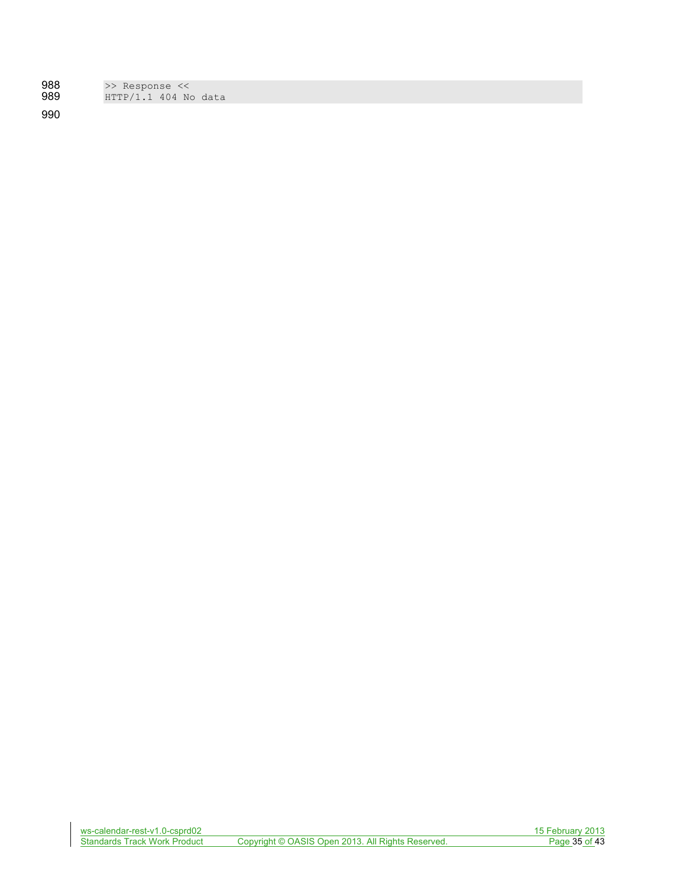| 988  | >> Response << |  |                        |  |
|------|----------------|--|------------------------|--|
| 989. |                |  | $HTTP/1.1$ 404 No data |  |

990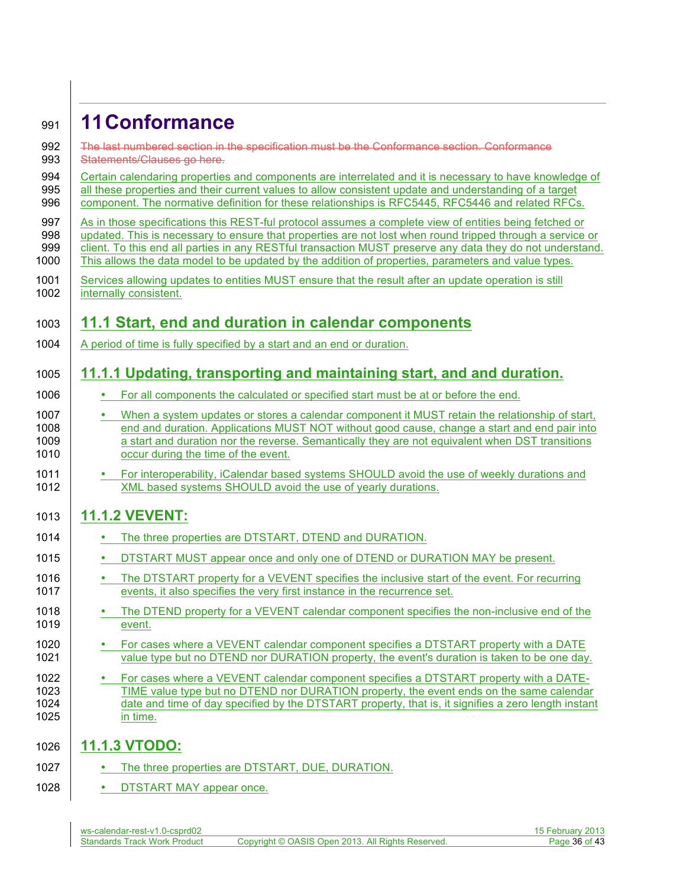# <sup>991</sup> **11Conformance**

| 992<br>993                   | The last numbered section in the specification must be the Conformance section. Conformance<br>Statements/Clauses go here.                                                                                                                                                                                                                                                                                                              |
|------------------------------|-----------------------------------------------------------------------------------------------------------------------------------------------------------------------------------------------------------------------------------------------------------------------------------------------------------------------------------------------------------------------------------------------------------------------------------------|
| 994<br>995<br>996            | Certain calendaring properties and components are interrelated and it is necessary to have knowledge of<br>all these properties and their current values to allow consistent update and understanding of a target<br>component. The normative definition for these relationships is RFC5445, RFC5446 and related RFCs.                                                                                                                  |
| 997<br>998<br>999<br>1000    | As in those specifications this REST-ful protocol assumes a complete view of entities being fetched or<br>updated. This is necessary to ensure that properties are not lost when round tripped through a service or<br>client. To this end all parties in any RESTful transaction MUST preserve any data they do not understand.<br>This allows the data model to be updated by the addition of properties, parameters and value types. |
| 1001<br>1002                 | Services allowing updates to entities MUST ensure that the result after an update operation is still<br>internally consistent.                                                                                                                                                                                                                                                                                                          |
| 1003                         | 11.1 Start, end and duration in calendar components                                                                                                                                                                                                                                                                                                                                                                                     |
| 1004                         | A period of time is fully specified by a start and an end or duration.                                                                                                                                                                                                                                                                                                                                                                  |
| 1005                         | 11.1.1 Updating, transporting and maintaining start, and and duration.                                                                                                                                                                                                                                                                                                                                                                  |
| 1006                         | For all components the calculated or specified start must be at or before the end.                                                                                                                                                                                                                                                                                                                                                      |
| 1007<br>1008<br>1009<br>1010 | When a system updates or stores a calendar component it MUST retain the relationship of start,<br>$\bullet$<br>end and duration. Applications MUST NOT without good cause, change a start and end pair into<br>a start and duration nor the reverse. Semantically they are not equivalent when DST transitions<br>occur during the time of the event.                                                                                   |
| 1011<br>1012                 | For interoperability, iCalendar based systems SHOULD avoid the use of weekly durations and<br>$\bullet$<br>XML based systems SHOULD avoid the use of yearly durations.                                                                                                                                                                                                                                                                  |
| 1013                         | <b>11.1.2 VEVENT:</b>                                                                                                                                                                                                                                                                                                                                                                                                                   |
| 1014                         | The three properties are DTSTART, DTEND and DURATION.                                                                                                                                                                                                                                                                                                                                                                                   |
| 1015                         | DTSTART MUST appear once and only one of DTEND or DURATION MAY be present.<br>٠                                                                                                                                                                                                                                                                                                                                                         |
| 1016<br>1017                 | The DTSTART property for a VEVENT specifies the inclusive start of the event. For recurring<br>٠<br>events, it also specifies the very first instance in the recurrence set.                                                                                                                                                                                                                                                            |
| 1018<br>1019                 | The DTEND property for a VEVENT calendar component specifies the non-inclusive end of the<br>event.                                                                                                                                                                                                                                                                                                                                     |
| 1020<br>1021                 | For cases where a VEVENT calendar component specifies a DTSTART property with a DATE<br>value type but no DTEND nor DURATION property, the event's duration is taken to be one day.                                                                                                                                                                                                                                                     |
| 1022<br>1023<br>1024<br>1025 | For cases where a VEVENT calendar component specifies a DTSTART property with a DATE-<br>TIME value type but no DTEND nor DURATION property, the event ends on the same calendar<br>date and time of day specified by the DTSTART property, that is, it signifies a zero length instant<br>in time.                                                                                                                                     |
| 1026                         | <b>11.1.3 VTODO:</b>                                                                                                                                                                                                                                                                                                                                                                                                                    |
| 1027                         | The three properties are DTSTART, DUE, DURATION.                                                                                                                                                                                                                                                                                                                                                                                        |
|                              |                                                                                                                                                                                                                                                                                                                                                                                                                                         |

1028 **• DTSTART MAY appear once.**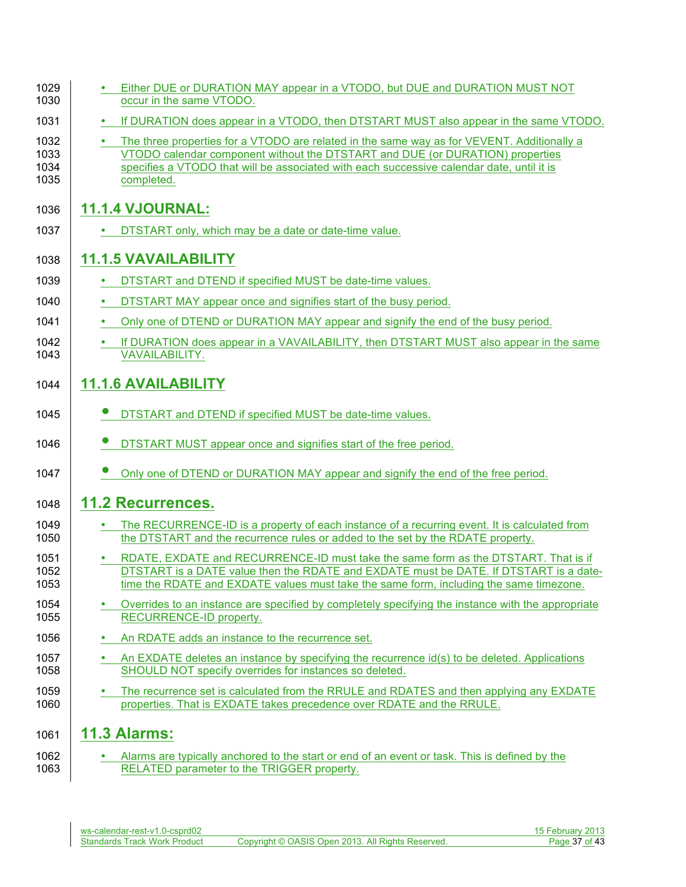| 1029<br>1030                 | Either DUE or DURATION MAY appear in a VTODO, but DUE and DURATION MUST NOT<br>occur in the same VTODO.                                                                                                                                                                                |
|------------------------------|----------------------------------------------------------------------------------------------------------------------------------------------------------------------------------------------------------------------------------------------------------------------------------------|
| 1031                         | If DURATION does appear in a VTODO, then DTSTART MUST also appear in the same VTODO.                                                                                                                                                                                                   |
| 1032<br>1033<br>1034<br>1035 | The three properties for a VTODO are related in the same way as for VEVENT. Additionally a<br>VTODO calendar component without the DTSTART and DUE (or DURATION) properties<br>specifies a VTODO that will be associated with each successive calendar date, until it is<br>completed. |
| 1036                         | <b>11.1.4 VJOURNAL:</b>                                                                                                                                                                                                                                                                |
| 1037                         | DTSTART only, which may be a date or date-time value.                                                                                                                                                                                                                                  |
| 1038                         | <b>11.1.5 VAVAILABILITY</b>                                                                                                                                                                                                                                                            |
| 1039                         | DTSTART and DTEND if specified MUST be date-time values.                                                                                                                                                                                                                               |
| 1040                         | DTSTART MAY appear once and signifies start of the busy period.                                                                                                                                                                                                                        |
| 1041                         | Only one of DTEND or DURATION MAY appear and signify the end of the busy period.                                                                                                                                                                                                       |
| 1042<br>1043                 | If DURATION does appear in a VAVAILABILITY, then DTSTART MUST also appear in the same<br><b>VAVAILABILITY.</b>                                                                                                                                                                         |
| 1044                         | <b>11.1.6 AVAILABILITY</b>                                                                                                                                                                                                                                                             |
| 1045                         | DTSTART and DTEND if specified MUST be date-time values.                                                                                                                                                                                                                               |
| 1046                         | DTSTART MUST appear once and signifies start of the free period.                                                                                                                                                                                                                       |
| 1047                         | Only one of DTEND or DURATION MAY appear and signify the end of the free period.                                                                                                                                                                                                       |
| 1048                         | <b>11.2 Recurrences.</b>                                                                                                                                                                                                                                                               |
| 1049<br>1050                 | The RECURRENCE-ID is a property of each instance of a recurring event. It is calculated from<br>the DTSTART and the recurrence rules or added to the set by the RDATE property.                                                                                                        |
| 1051<br>1052<br>1053         | RDATE, EXDATE and RECURRENCE-ID must take the same form as the DTSTART. That is if<br>DTSTART is a DATE value then the RDATE and EXDATE must be DATE. If DTSTART is a date-<br>time the RDATE and EXDATE values must take the same form, including the same timezone.                  |
| 1054<br>1055                 | Overrides to an instance are specified by completely specifying the instance with the appropriate<br>RECURRENCE-ID property.                                                                                                                                                           |
| 1056                         | An RDATE adds an instance to the recurrence set.                                                                                                                                                                                                                                       |
| 1057<br>1058                 | An EXDATE deletes an instance by specifying the recurrence id(s) to be deleted. Applications<br>SHOULD NOT specify overrides for instances so deleted.                                                                                                                                 |
| 1059<br>1060                 | The recurrence set is calculated from the RRULE and RDATES and then applying any EXDATE<br>properties. That is EXDATE takes precedence over RDATE and the RRULE.                                                                                                                       |
| 1061                         | <b>11.3 Alarms:</b>                                                                                                                                                                                                                                                                    |
| 1062<br>1063                 | Alarms are typically anchored to the start or end of an event or task. This is defined by the<br>RELATED parameter to the TRIGGER property.                                                                                                                                            |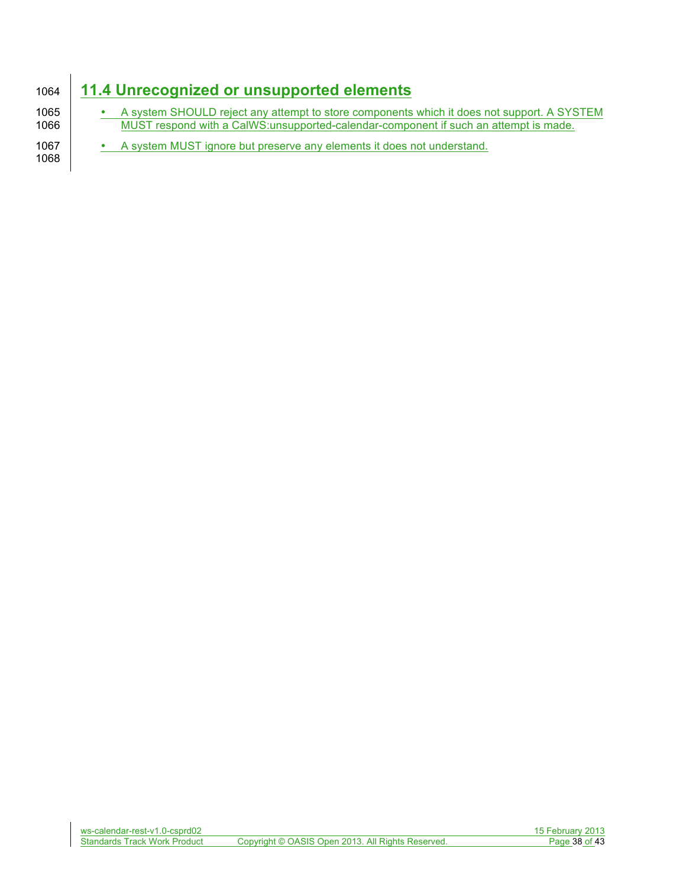# 1064 **11.4 Unrecognized or unsupported elements**

<sup>t</sup> A system SHOULD reject any attempt to store components which it does not support. A SYSTEM 1066<br>1066 MUST respond with a CalWS:unsupported-calendar-component if such an attempt is made. MUST respond with a CalWS:unsupported-calendar-component if such an attempt is made. 1067 • A system MUST ignore but preserve any elements it does not understand. 1068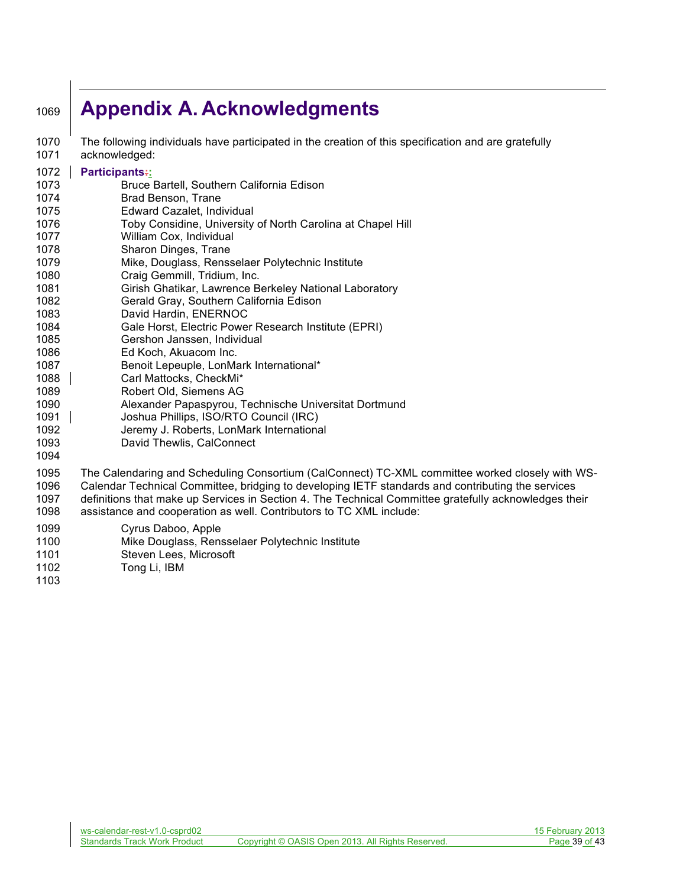# **Appendix A. Acknowledgments**

 The following individuals have participated in the creation of this specification and are gratefully acknowledged:

#### **Participants::**

- Bruce Bartell, Southern California Edison
- Brad Benson, Trane
- Edward Cazalet, Individual
- Toby Considine, University of North Carolina at Chapel Hill
- William Cox, Individual
- Sharon Dinges, Trane
- Mike, Douglass, Rensselaer Polytechnic Institute
- Craig Gemmill, Tridium, Inc.
- Girish Ghatikar, Lawrence Berkeley National Laboratory
- Gerald Gray, Southern California Edison
- David Hardin, ENERNOC
- Gale Horst, Electric Power Research Institute (EPRI)
- Gershon Janssen, Individual
- Ed Koch, Akuacom Inc.
- Benoit Lepeuple, LonMark International\*
- 1088 Carl Mattocks, CheckMi<sup>\*</sup>
- Robert Old, Siemens AG
- Alexander Papaspyrou, Technische Universitat Dortmund
- Joshua Phillips, ISO/RTO Council (IRC)
- Jeremy J. Roberts, LonMark International
- David Thewlis, CalConnect
- 
- The Calendaring and Scheduling Consortium (CalConnect) TC-XML committee worked closely with WS- Calendar Technical Committee, bridging to developing IETF standards and contributing the services definitions that make up Services in Section 4. The Technical Committee gratefully acknowledges their
- assistance and cooperation as well. Contributors to TC XML include:
- Cyrus Daboo, Apple
- Mike Douglass, Rensselaer Polytechnic Institute
- Steven Lees, Microsoft
- Tong Li, IBM
-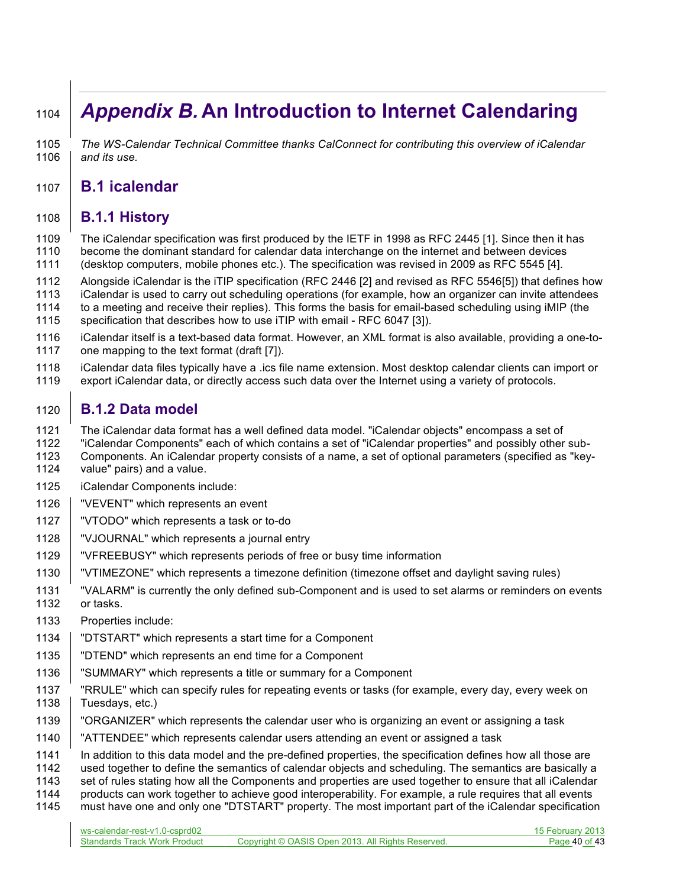# *Appendix B.* **An Introduction to Internet Calendaring**

 *The WS-Calendar Technical Committee thanks CalConnect for contributing this overview of iCalendar and its use.*

# **B.1 icalendar**

### **B.1.1 History**

 The iCalendar specification was first produced by the IETF in 1998 as RFC 2445 [1]. Since then it has become the dominant standard for calendar data interchange on the internet and between devices (desktop computers, mobile phones etc.). The specification was revised in 2009 as RFC 5545 [4].

Alongside iCalendar is the iTIP specification (RFC 2446 [2] and revised as RFC 5546[5]) that defines how

- iCalendar is used to carry out scheduling operations (for example, how an organizer can invite attendees
- to a meeting and receive their replies). This forms the basis for email-based scheduling using iMIP (the
- specification that describes how to use iTIP with email RFC 6047 [3]).
- iCalendar itself is a text-based data format. However, an XML format is also available, providing a one-to-1117 one mapping to the text format (draft [7]).
- iCalendar data files typically have a .ics file name extension. Most desktop calendar clients can import or
- export iCalendar data, or directly access such data over the Internet using a variety of protocols.

# **B.1.2 Data model**

The iCalendar data format has a well defined data model. "iCalendar objects" encompass a set of

- "iCalendar Components" each of which contains a set of "iCalendar properties" and possibly other sub-
- 1123 Components. An iCalendar property consists of a name, a set of optional parameters (specified as "key-<br>1124 value" pairs) and a value. value" pairs) and a value.
- iCalendar Components include:
- 1126 | "VEVENT" which represents an event
- "VTODO" which represents a task or to-do
- "VJOURNAL" which represents a journal entry
- "VFREEBUSY" which represents periods of free or busy time information
- "VTIMEZONE" which represents a timezone definition (timezone offset and daylight saving rules)
- "VALARM" is currently the only defined sub-Component and is used to set alarms or reminders on events or tasks.
- Properties include:
- "DTSTART" which represents a start time for a Component
- "DTEND" which represents an end time for a Component
- "SUMMARY" which represents a title or summary for a Component
- "RRULE" which can specify rules for repeating events or tasks (for example, every day, every week on 1138 | Tuesdays, etc.)
- 1139 | "ORGANIZER" which represents the calendar user who is organizing an event or assigning a task
- "ATTENDEE" which represents calendar users attending an event or assigned a task
- In addition to this data model and the pre-defined properties, the specification defines how all those are
- used together to define the semantics of calendar objects and scheduling. The semantics are basically a
- set of rules stating how all the Components and properties are used together to ensure that all iCalendar products can work together to achieve good interoperability. For example, a rule requires that all events
- must have one and only one "DTSTART" property. The most important part of the iCalendar specification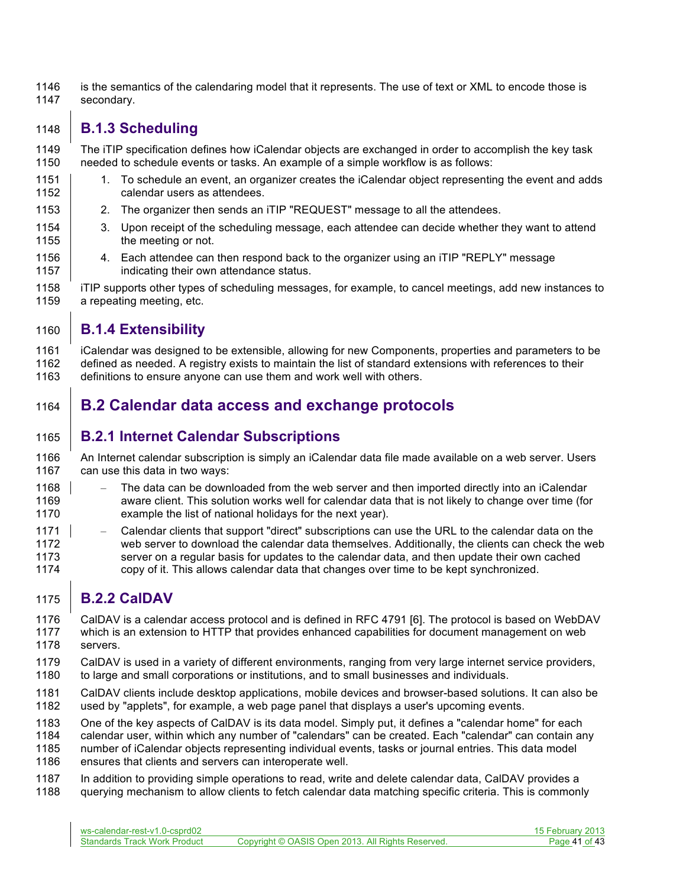is the semantics of the calendaring model that it represents. The use of text or XML to encode those is secondary.

# **B.1.3 Scheduling**

 The iTIP specification defines how iCalendar objects are exchanged in order to accomplish the key task needed to schedule events or tasks. An example of a simple workflow is as follows:

- 1151 1. To schedule an event, an organizer creates the iCalendar object representing the event and adds **degendary calendar** users as attendees.
- **2.** The organizer then sends an iTIP "REQUEST" message to all the attendees.
- 1154 | 3. Upon receipt of the scheduling message, each attendee can decide whether they want to attend **the meeting or not.**
- 1156 4. Each attendee can then respond back to the organizer using an iTIP "REPLY" message **indicating their own attendance status.**
- iTIP supports other types of scheduling messages, for example, to cancel meetings, add new instances to a repeating meeting, etc.

### **B.1.4 Extensibility**

 iCalendar was designed to be extensible, allowing for new Components, properties and parameters to be defined as needed. A registry exists to maintain the list of standard extensions with references to their definitions to ensure anyone can use them and work well with others.

# **B.2 Calendar data access and exchange protocols**

### **B.2.1 Internet Calendar Subscriptions**

 An Internet calendar subscription is simply an iCalendar data file made available on a web server. Users can use this data in two ways:

- 1168 The data can be downloaded from the web server and then imported directly into an iCalendar aware client. This solution works well for calendar data that is not likely to change over time (for example the list of national holidays for the next year).
- Calendar clients that support "direct" subscriptions can use the URL to the calendar data on the web server to download the calendar data themselves. Additionally, the clients can check the web server on a regular basis for updates to the calendar data, and then update their own cached copy of it. This allows calendar data that changes over time to be kept synchronized.

# **B.2.2 CalDAV**

 CalDAV is a calendar access protocol and is defined in RFC 4791 [6]. The protocol is based on WebDAV which is an extension to HTTP that provides enhanced capabilities for document management on web servers.

- CalDAV is used in a variety of different environments, ranging from very large internet service providers,
- 1180 to large and small corporations or institutions, and to small businesses and individuals.
- CalDAV clients include desktop applications, mobile devices and browser-based solutions. It can also be used by "applets", for example, a web page panel that displays a user's upcoming events.

One of the key aspects of CalDAV is its data model. Simply put, it defines a "calendar home" for each

- calendar user, within which any number of "calendars" can be created. Each "calendar" can contain any
- number of iCalendar objects representing individual events, tasks or journal entries. This data model
- ensures that clients and servers can interoperate well.
- In addition to providing simple operations to read, write and delete calendar data, CalDAV provides a querying mechanism to allow clients to fetch calendar data matching specific criteria. This is commonly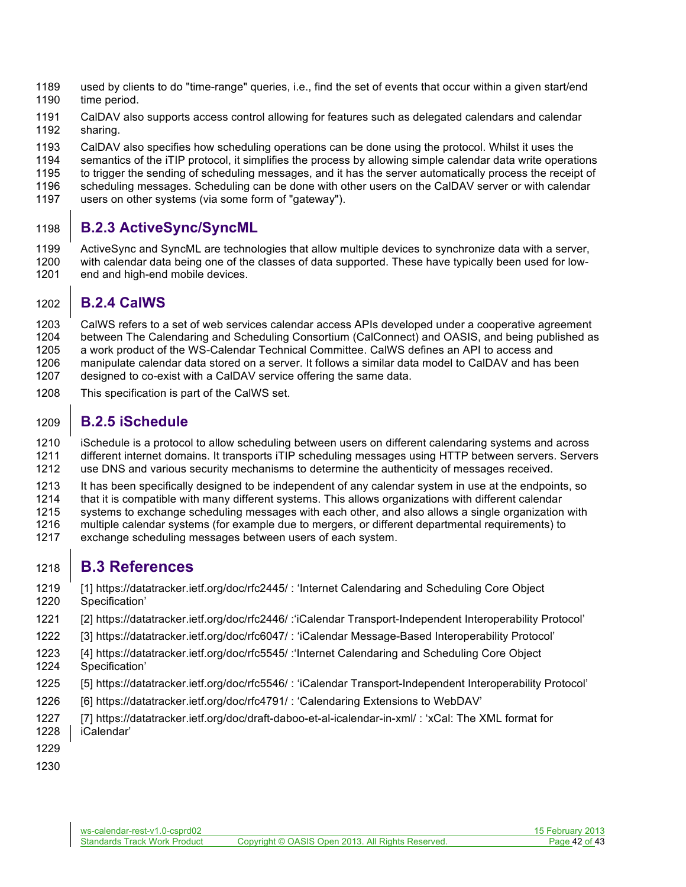- used by clients to do "time-range" queries, i.e., find the set of events that occur within a given start/end time period.
- CalDAV also supports access control allowing for features such as delegated calendars and calendar sharing.
- CalDAV also specifies how scheduling operations can be done using the protocol. Whilst it uses the
- 
- 1194 semantics of the iTIP protocol, it simplifies the process by allowing simple calendar data write operations<br>1195 to trigger the sending of scheduling messages, and it has the server automatically process the receipt o to trigger the sending of scheduling messages, and it has the server automatically process the receipt of
- scheduling messages. Scheduling can be done with other users on the CalDAV server or with calendar
- users on other systems (via some form of "gateway").

### **B.2.3 ActiveSync/SyncML**

 ActiveSync and SyncML are technologies that allow multiple devices to synchronize data with a server, with calendar data being one of the classes of data supported. These have typically been used for low-1201 end and high-end mobile devices.

### **B.2.4 CalWS**

- CalWS refers to a set of web services calendar access APIs developed under a cooperative agreement between The Calendaring and Scheduling Consortium (CalConnect) and OASIS, and being published as a work product of the WS-Calendar Technical Committee. CalWS defines an API to access and manipulate calendar data stored on a server. It follows a similar data model to CalDAV and has been designed to co-exist with a CalDAV service offering the same data.
- This specification is part of the CalWS set.

### **B.2.5 iSchedule**

 iSchedule is a protocol to allow scheduling between users on different calendaring systems and across different internet domains. It transports iTIP scheduling messages using HTTP between servers. Servers use DNS and various security mechanisms to determine the authenticity of messages received.

- 1213 It has been specifically designed to be independent of any calendar system in use at the endpoints, so
- that it is compatible with many different systems. This allows organizations with different calendar
- systems to exchange scheduling messages with each other, and also allows a single organization with
- 1216 multiple calendar systems (for example due to mergers, or different departmental requirements) to <br>1217 exchange scheduling messages between users of each system.
- exchange scheduling messages between users of each system.

# **B.3 References**

- [1] https://datatracker.ietf.org/doc/rfc2445/ : 'Internet Calendaring and Scheduling Core Object
- Specification'
- [2] https://datatracker.ietf.org/doc/rfc2446/ :'iCalendar Transport-Independent Interoperability Protocol'
- [3] https://datatracker.ietf.org/doc/rfc6047/ : 'iCalendar Message-Based Interoperability Protocol'
- [4] https://datatracker.ietf.org/doc/rfc5545/ :'Internet Calendaring and Scheduling Core Object Specification'
- [5] https://datatracker.ietf.org/doc/rfc5546/ : 'iCalendar Transport-Independent Interoperability Protocol'
- [6] https://datatracker.ietf.org/doc/rfc4791/ : 'Calendaring Extensions to WebDAV'
- [7] https://datatracker.ietf.org/doc/draft-daboo-et-al-icalendar-in-xml/ : 'xCal: The XML format for iCalendar'
- 
-